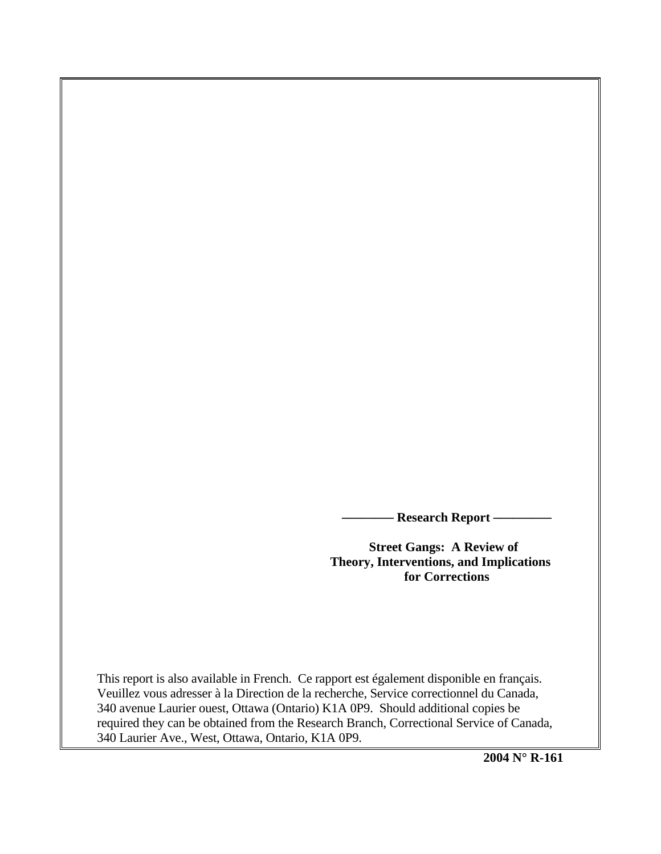**Research Report —** 

 **Street Gangs: A Review of Theory, Interventions, and Implications for Corrections**

This report is also available in French. Ce rapport est également disponible en français. Veuillez vous adresser à la Direction de la recherche, Service correctionnel du Canada, 340 avenue Laurier ouest, Ottawa (Ontario) K1A 0P9. Should additional copies be required they can be obtained from the Research Branch, Correctional Service of Canada, 340 Laurier Ave., West, Ottawa, Ontario, K1A 0P9.

**2004 N° R-161**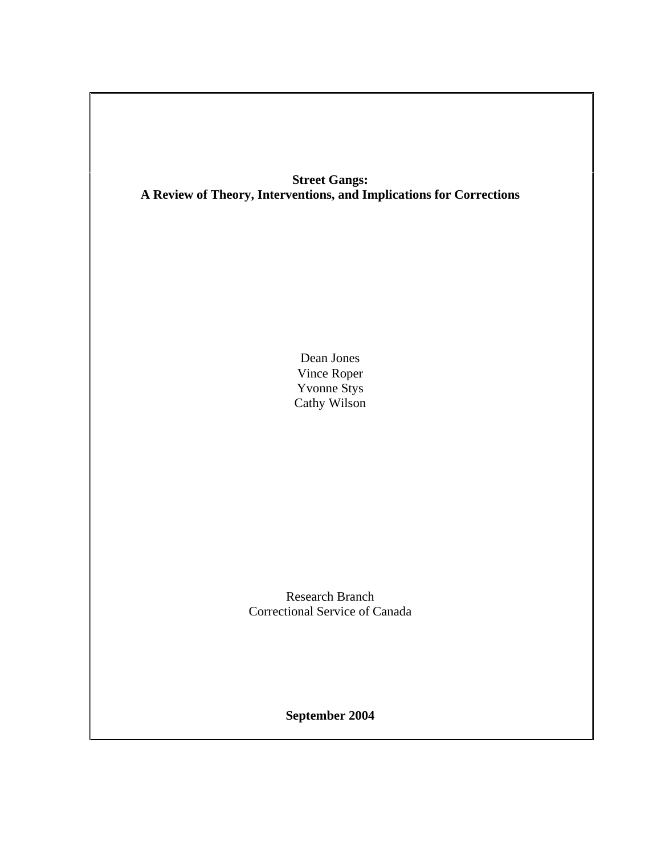# **Street Gangs: A Review of Theory, Interventions, and Implications for Corrections**

Dean Jones Vince Roper Yvonne Stys Cathy Wilson

Research Branch Correctional Service of Canada

**September 2004**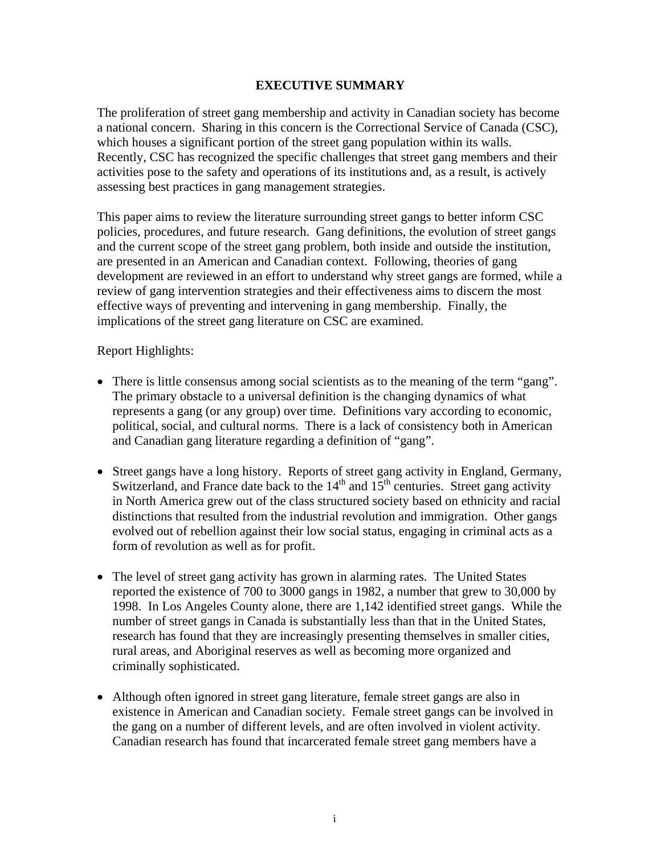# **EXECUTIVE SUMMARY**

The proliferation of street gang membership and activity in Canadian society has become a national concern. Sharing in this concern is the Correctional Service of Canada (CSC), which houses a significant portion of the street gang population within its walls. Recently, CSC has recognized the specific challenges that street gang members and their activities pose to the safety and operations of its institutions and, as a result, is actively assessing best practices in gang management strategies.

This paper aims to review the literature surrounding street gangs to better inform CSC policies, procedures, and future research. Gang definitions, the evolution of street gangs and the current scope of the street gang problem, both inside and outside the institution, are presented in an American and Canadian context. Following, theories of gang development are reviewed in an effort to understand why street gangs are formed, while a review of gang intervention strategies and their effectiveness aims to discern the most effective ways of preventing and intervening in gang membership. Finally, the implications of the street gang literature on CSC are examined.

Report Highlights:

- There is little consensus among social scientists as to the meaning of the term "gang". The primary obstacle to a universal definition is the changing dynamics of what represents a gang (or any group) over time. Definitions vary according to economic, political, social, and cultural norms. There is a lack of consistency both in American and Canadian gang literature regarding a definition of "gang".
- Street gangs have a long history. Reports of street gang activity in England, Germany, Switzerland, and France date back to the  $14<sup>th</sup>$  and  $15<sup>th</sup>$  centuries. Street gang activity in North America grew out of the class structured society based on ethnicity and racial distinctions that resulted from the industrial revolution and immigration. Other gangs evolved out of rebellion against their low social status, engaging in criminal acts as a form of revolution as well as for profit.
- The level of street gang activity has grown in alarming rates. The United States reported the existence of 700 to 3000 gangs in 1982, a number that grew to 30,000 by 1998. In Los Angeles County alone, there are 1,142 identified street gangs. While the number of street gangs in Canada is substantially less than that in the United States, research has found that they are increasingly presenting themselves in smaller cities, rural areas, and Aboriginal reserves as well as becoming more organized and criminally sophisticated.
- Although often ignored in street gang literature, female street gangs are also in existence in American and Canadian society. Female street gangs can be involved in the gang on a number of different levels, and are often involved in violent activity. Canadian research has found that incarcerated female street gang members have a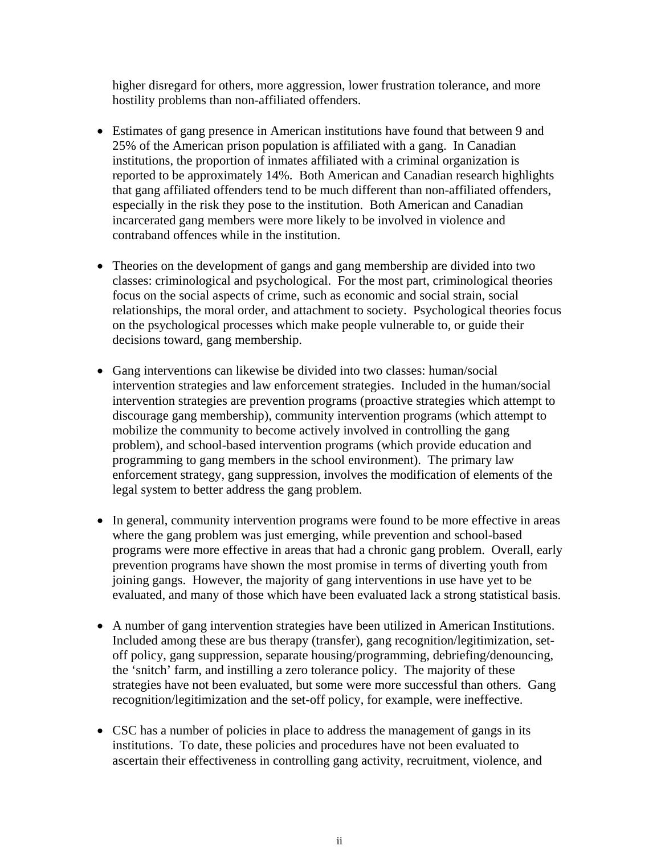higher disregard for others, more aggression, lower frustration tolerance, and more hostility problems than non-affiliated offenders.

- Estimates of gang presence in American institutions have found that between 9 and 25% of the American prison population is affiliated with a gang. In Canadian institutions, the proportion of inmates affiliated with a criminal organization is reported to be approximately 14%. Both American and Canadian research highlights that gang affiliated offenders tend to be much different than non-affiliated offenders, especially in the risk they pose to the institution. Both American and Canadian incarcerated gang members were more likely to be involved in violence and contraband offences while in the institution.
- Theories on the development of gangs and gang membership are divided into two classes: criminological and psychological. For the most part, criminological theories focus on the social aspects of crime, such as economic and social strain, social relationships, the moral order, and attachment to society. Psychological theories focus on the psychological processes which make people vulnerable to, or guide their decisions toward, gang membership.
- Gang interventions can likewise be divided into two classes: human/social intervention strategies and law enforcement strategies. Included in the human/social intervention strategies are prevention programs (proactive strategies which attempt to discourage gang membership), community intervention programs (which attempt to mobilize the community to become actively involved in controlling the gang problem), and school-based intervention programs (which provide education and programming to gang members in the school environment). The primary law enforcement strategy, gang suppression, involves the modification of elements of the legal system to better address the gang problem.
- In general, community intervention programs were found to be more effective in areas where the gang problem was just emerging, while prevention and school-based programs were more effective in areas that had a chronic gang problem. Overall, early prevention programs have shown the most promise in terms of diverting youth from joining gangs. However, the majority of gang interventions in use have yet to be evaluated, and many of those which have been evaluated lack a strong statistical basis.
- A number of gang intervention strategies have been utilized in American Institutions. Included among these are bus therapy (transfer), gang recognition/legitimization, setoff policy, gang suppression, separate housing/programming, debriefing/denouncing, the 'snitch' farm, and instilling a zero tolerance policy. The majority of these strategies have not been evaluated, but some were more successful than others. Gang recognition/legitimization and the set-off policy, for example, were ineffective.
- CSC has a number of policies in place to address the management of gangs in its institutions. To date, these policies and procedures have not been evaluated to ascertain their effectiveness in controlling gang activity, recruitment, violence, and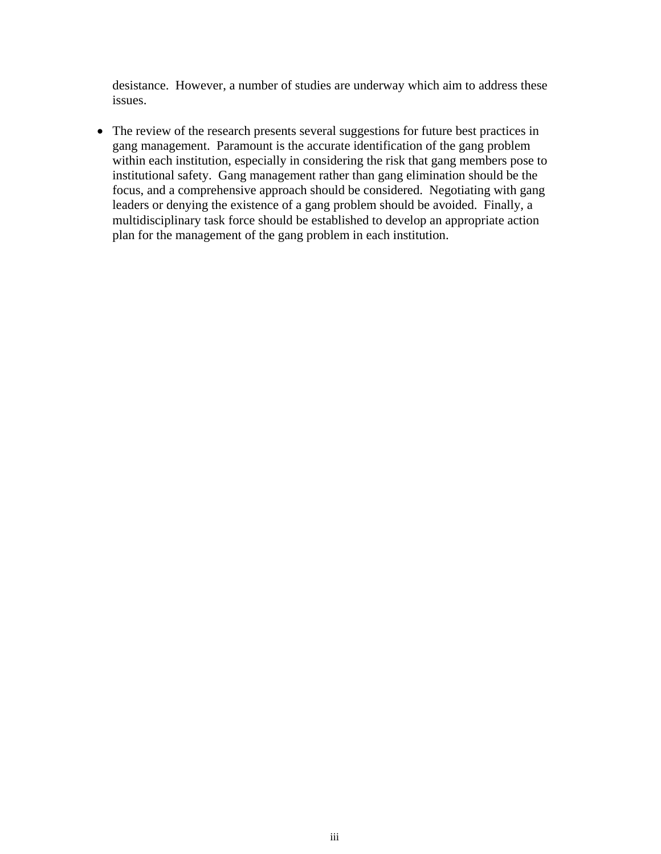desistance. However, a number of studies are underway which aim to address these issues.

• The review of the research presents several suggestions for future best practices in gang management. Paramount is the accurate identification of the gang problem within each institution, especially in considering the risk that gang members pose to institutional safety. Gang management rather than gang elimination should be the focus, and a comprehensive approach should be considered. Negotiating with gang leaders or denying the existence of a gang problem should be avoided. Finally, a multidisciplinary task force should be established to develop an appropriate action plan for the management of the gang problem in each institution.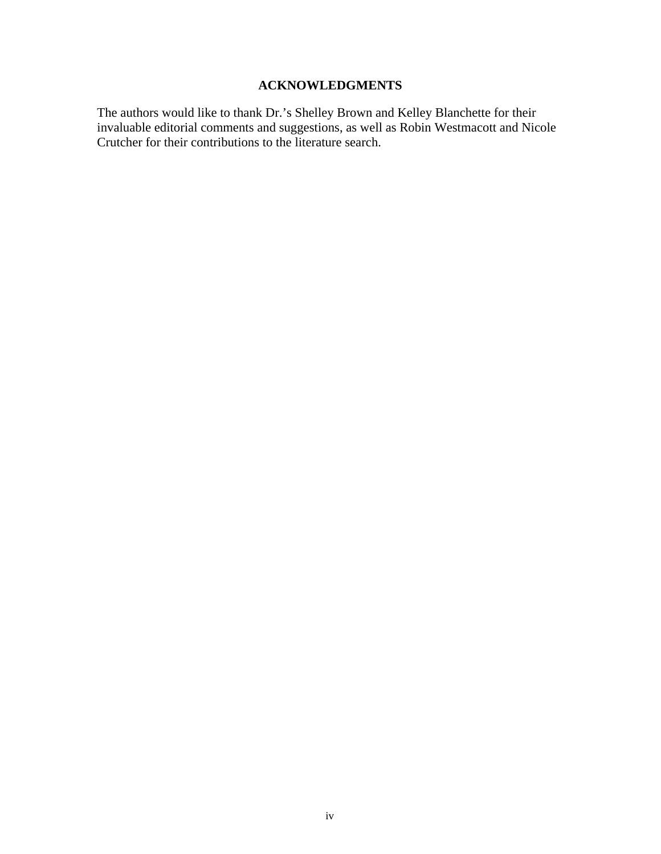# **ACKNOWLEDGMENTS**

The authors would like to thank Dr.'s Shelley Brown and Kelley Blanchette for their invaluable editorial comments and suggestions, as well as Robin Westmacott and Nicole Crutcher for their contributions to the literature search.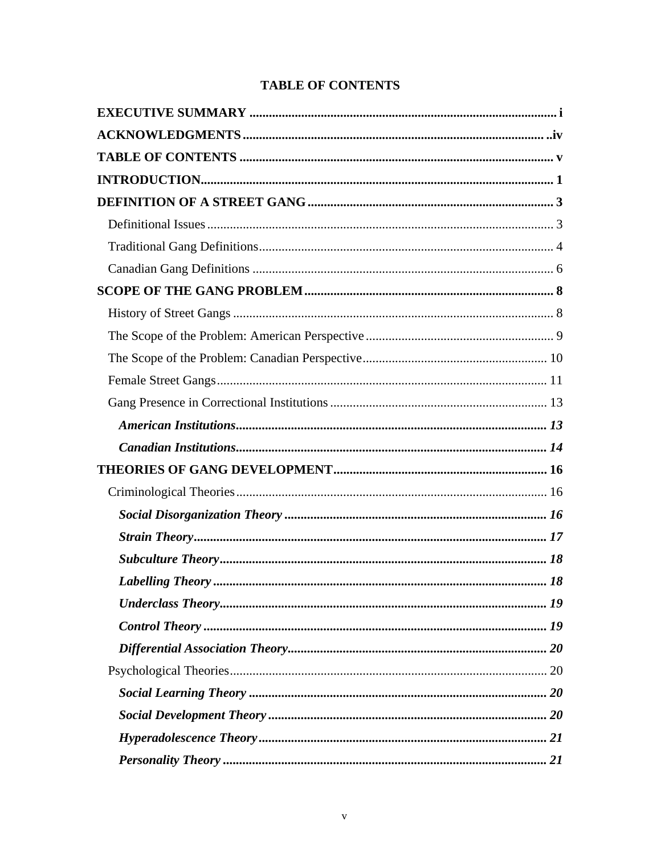# **TABLE OF CONTENTS**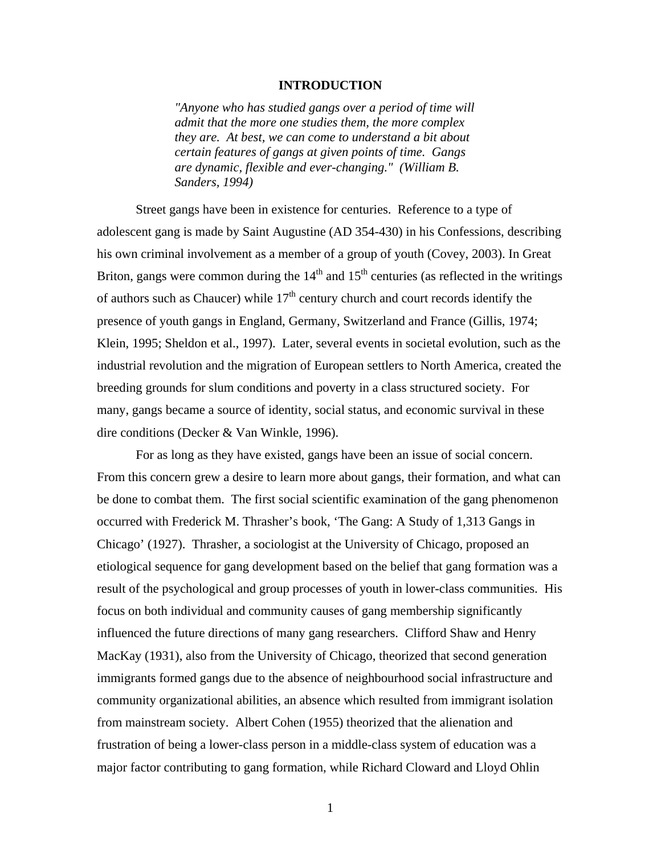### **INTRODUCTION**

*"Anyone who has studied gangs over a period of time will admit that the more one studies them, the more complex they are. At best, we can come to understand a bit about certain features of gangs at given points of time. Gangs are dynamic, flexible and ever-changing." (William B. Sanders, 1994)* 

Street gangs have been in existence for centuries. Reference to a type of adolescent gang is made by Saint Augustine (AD 354-430) in his Confessions, describing his own criminal involvement as a member of a group of youth (Covey, 2003). In Great Briton, gangs were common during the  $14<sup>th</sup>$  and  $15<sup>th</sup>$  centuries (as reflected in the writings of authors such as Chaucer) while  $17<sup>th</sup>$  century church and court records identify the presence of youth gangs in England, Germany, Switzerland and France (Gillis, 1974; Klein, 1995; Sheldon et al., 1997). Later, several events in societal evolution, such as the industrial revolution and the migration of European settlers to North America, created the breeding grounds for slum conditions and poverty in a class structured society. For many, gangs became a source of identity, social status, and economic survival in these dire conditions (Decker & Van Winkle, 1996).

For as long as they have existed, gangs have been an issue of social concern. From this concern grew a desire to learn more about gangs, their formation, and what can be done to combat them. The first social scientific examination of the gang phenomenon occurred with Frederick M. Thrasher's book, 'The Gang: A Study of 1,313 Gangs in Chicago' (1927). Thrasher, a sociologist at the University of Chicago, proposed an etiological sequence for gang development based on the belief that gang formation was a result of the psychological and group processes of youth in lower-class communities. His focus on both individual and community causes of gang membership significantly influenced the future directions of many gang researchers. Clifford Shaw and Henry MacKay (1931), also from the University of Chicago, theorized that second generation immigrants formed gangs due to the absence of neighbourhood social infrastructure and community organizational abilities, an absence which resulted from immigrant isolation from mainstream society. Albert Cohen (1955) theorized that the alienation and frustration of being a lower-class person in a middle-class system of education was a major factor contributing to gang formation, while Richard Cloward and Lloyd Ohlin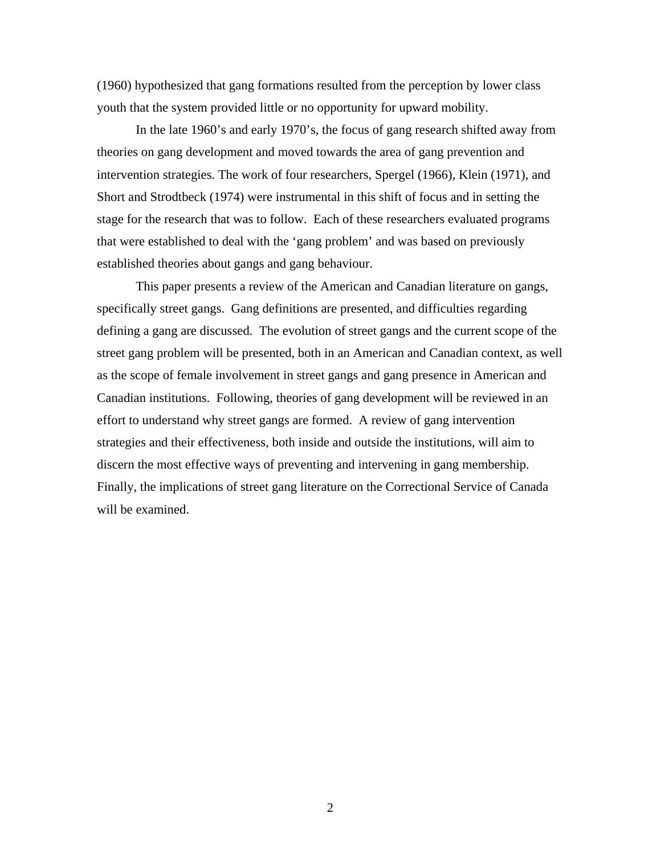(1960) hypothesized that gang formations resulted from the perception by lower class youth that the system provided little or no opportunity for upward mobility.

In the late 1960's and early 1970's, the focus of gang research shifted away from theories on gang development and moved towards the area of gang prevention and intervention strategies. The work of four researchers, Spergel (1966), Klein (1971), and Short and Strodtbeck (1974) were instrumental in this shift of focus and in setting the stage for the research that was to follow. Each of these researchers evaluated programs that were established to deal with the 'gang problem' and was based on previously established theories about gangs and gang behaviour.

This paper presents a review of the American and Canadian literature on gangs, specifically street gangs. Gang definitions are presented, and difficulties regarding defining a gang are discussed. The evolution of street gangs and the current scope of the street gang problem will be presented, both in an American and Canadian context, as well as the scope of female involvement in street gangs and gang presence in American and Canadian institutions. Following, theories of gang development will be reviewed in an effort to understand why street gangs are formed. A review of gang intervention strategies and their effectiveness, both inside and outside the institutions, will aim to discern the most effective ways of preventing and intervening in gang membership. Finally, the implications of street gang literature on the Correctional Service of Canada will be examined.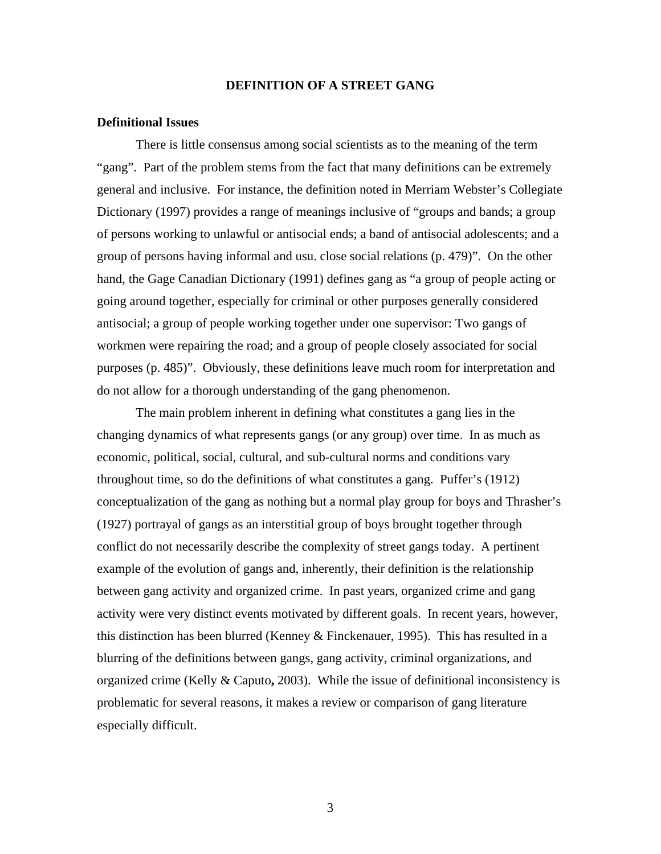### **DEFINITION OF A STREET GANG**

### **Definitional Issues**

There is little consensus among social scientists as to the meaning of the term "gang". Part of the problem stems from the fact that many definitions can be extremely general and inclusive. For instance, the definition noted in Merriam Webster's Collegiate Dictionary (1997) provides a range of meanings inclusive of "groups and bands; a group of persons working to unlawful or antisocial ends; a band of antisocial adolescents; and a group of persons having informal and usu. close social relations (p. 479)". On the other hand, the Gage Canadian Dictionary (1991) defines gang as "a group of people acting or going around together, especially for criminal or other purposes generally considered antisocial; a group of people working together under one supervisor: Two gangs of workmen were repairing the road; and a group of people closely associated for social purposes (p. 485)". Obviously, these definitions leave much room for interpretation and do not allow for a thorough understanding of the gang phenomenon.

The main problem inherent in defining what constitutes a gang lies in the changing dynamics of what represents gangs (or any group) over time. In as much as economic, political, social, cultural, and sub-cultural norms and conditions vary throughout time, so do the definitions of what constitutes a gang. Puffer's (1912) conceptualization of the gang as nothing but a normal play group for boys and Thrasher's (1927) portrayal of gangs as an interstitial group of boys brought together through conflict do not necessarily describe the complexity of street gangs today. A pertinent example of the evolution of gangs and, inherently, their definition is the relationship between gang activity and organized crime. In past years, organized crime and gang activity were very distinct events motivated by different goals. In recent years, however, this distinction has been blurred (Kenney & Finckenauer, 1995). This has resulted in a blurring of the definitions between gangs, gang activity, criminal organizations, and organized crime (Kelly & Caputo**,** 2003). While the issue of definitional inconsistency is problematic for several reasons, it makes a review or comparison of gang literature especially difficult.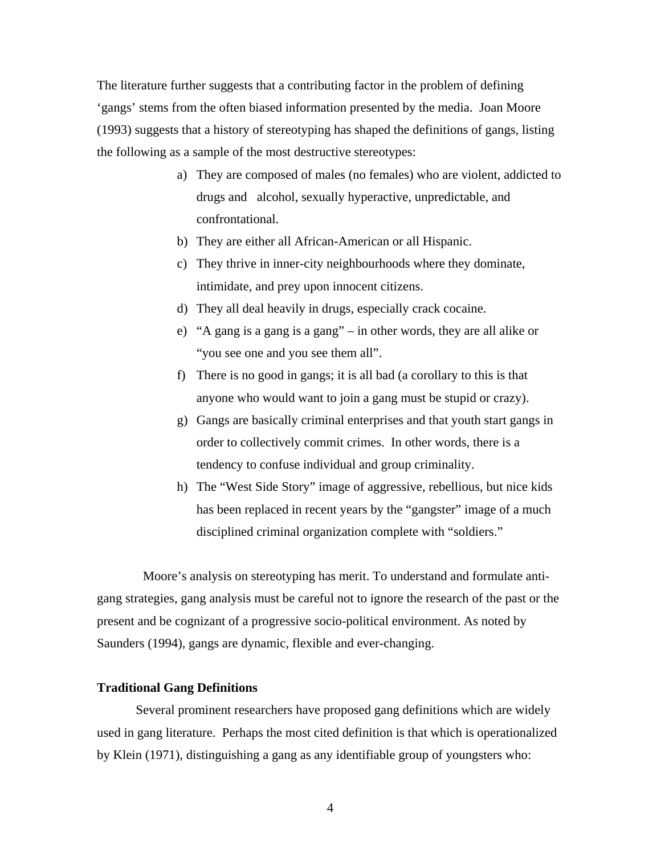The literature further suggests that a contributing factor in the problem of defining 'gangs' stems from the often biased information presented by the media. Joan Moore (1993) suggests that a history of stereotyping has shaped the definitions of gangs, listing the following as a sample of the most destructive stereotypes:

- a) They are composed of males (no females) who are violent, addicted to drugs and alcohol, sexually hyperactive, unpredictable, and confrontational.
- b) They are either all African-American or all Hispanic.
- c) They thrive in inner-city neighbourhoods where they dominate, intimidate, and prey upon innocent citizens.
- d) They all deal heavily in drugs, especially crack cocaine.
- e) "A gang is a gang is a gang" in other words, they are all alike or "you see one and you see them all".
- f) There is no good in gangs; it is all bad (a corollary to this is that anyone who would want to join a gang must be stupid or crazy).
- g) Gangs are basically criminal enterprises and that youth start gangs in order to collectively commit crimes. In other words, there is a tendency to confuse individual and group criminality.
- h) The "West Side Story" image of aggressive, rebellious, but nice kids has been replaced in recent years by the "gangster" image of a much disciplined criminal organization complete with "soldiers."

Moore's analysis on stereotyping has merit. To understand and formulate antigang strategies, gang analysis must be careful not to ignore the research of the past or the present and be cognizant of a progressive socio-political environment. As noted by Saunders (1994), gangs are dynamic, flexible and ever-changing.

### **Traditional Gang Definitions**

Several prominent researchers have proposed gang definitions which are widely used in gang literature. Perhaps the most cited definition is that which is operationalized by Klein (1971), distinguishing a gang as any identifiable group of youngsters who: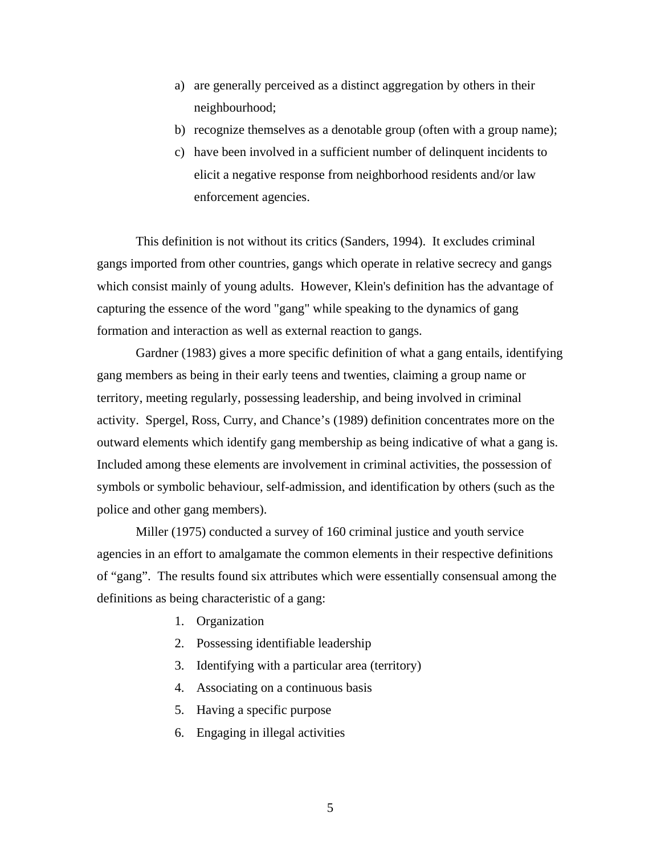- a) are generally perceived as a distinct aggregation by others in their neighbourhood;
- b) recognize themselves as a denotable group (often with a group name);
- c) have been involved in a sufficient number of delinquent incidents to elicit a negative response from neighborhood residents and/or law enforcement agencies.

This definition is not without its critics (Sanders, 1994). It excludes criminal gangs imported from other countries, gangs which operate in relative secrecy and gangs which consist mainly of young adults. However, Klein's definition has the advantage of capturing the essence of the word "gang" while speaking to the dynamics of gang formation and interaction as well as external reaction to gangs.

Gardner (1983) gives a more specific definition of what a gang entails, identifying gang members as being in their early teens and twenties, claiming a group name or territory, meeting regularly, possessing leadership, and being involved in criminal activity. Spergel, Ross, Curry, and Chance's (1989) definition concentrates more on the outward elements which identify gang membership as being indicative of what a gang is. Included among these elements are involvement in criminal activities, the possession of symbols or symbolic behaviour, self-admission, and identification by others (such as the police and other gang members).

 Miller (1975) conducted a survey of 160 criminal justice and youth service agencies in an effort to amalgamate the common elements in their respective definitions of "gang". The results found six attributes which were essentially consensual among the definitions as being characteristic of a gang:

- 1. Organization
- 2. Possessing identifiable leadership
- 3. Identifying with a particular area (territory)
- 4. Associating on a continuous basis
- 5. Having a specific purpose
- 6. Engaging in illegal activities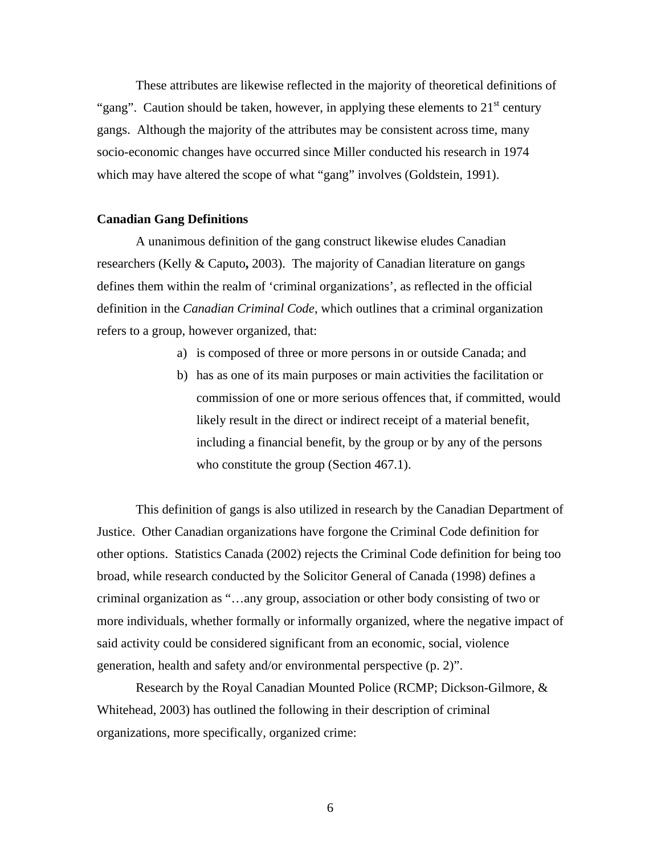These attributes are likewise reflected in the majority of theoretical definitions of "gang". Caution should be taken, however, in applying these elements to  $21<sup>st</sup>$  century gangs. Although the majority of the attributes may be consistent across time, many socio-economic changes have occurred since Miller conducted his research in 1974 which may have altered the scope of what "gang" involves (Goldstein, 1991).

### **Canadian Gang Definitions**

 A unanimous definition of the gang construct likewise eludes Canadian researchers (Kelly & Caputo**,** 2003). The majority of Canadian literature on gangs defines them within the realm of 'criminal organizations', as reflected in the official definition in the *Canadian Criminal Code*, which outlines that a criminal organization refers to a group, however organized, that:

- a) is composed of three or more persons in or outside Canada; and
- b) has as one of its main purposes or main activities the facilitation or commission of one or more serious offences that, if committed, would likely result in the direct or indirect receipt of a material benefit, including a financial benefit, by the group or by any of the persons who constitute the group (Section 467.1).

This definition of gangs is also utilized in research by the Canadian Department of Justice. Other Canadian organizations have forgone the Criminal Code definition for other options. Statistics Canada (2002) rejects the Criminal Code definition for being too broad, while research conducted by the Solicitor General of Canada (1998) defines a criminal organization as "…any group, association or other body consisting of two or more individuals, whether formally or informally organized, where the negative impact of said activity could be considered significant from an economic, social, violence generation, health and safety and/or environmental perspective (p. 2)".

 Research by the Royal Canadian Mounted Police (RCMP; Dickson-Gilmore, & Whitehead, 2003) has outlined the following in their description of criminal organizations, more specifically, organized crime: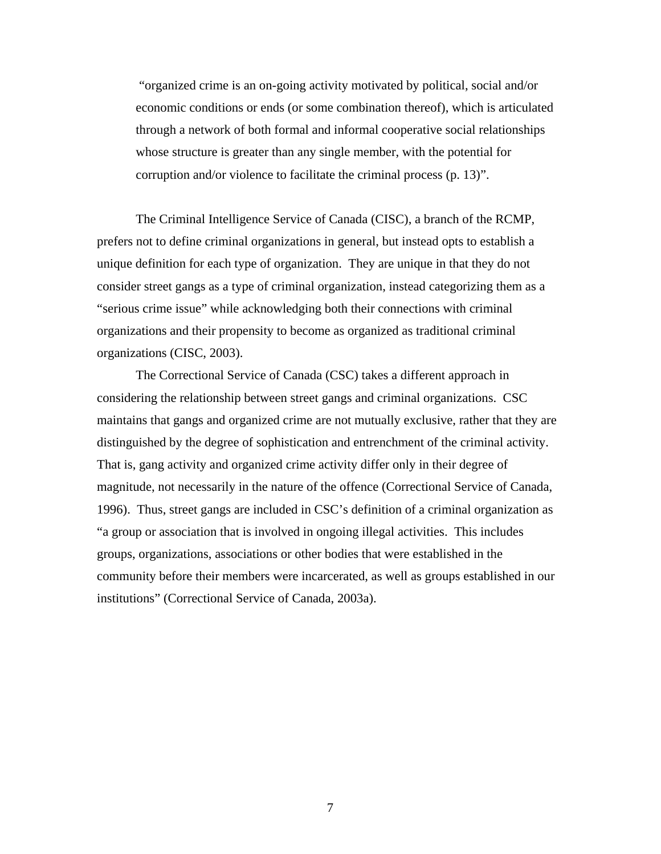"organized crime is an on-going activity motivated by political, social and/or economic conditions or ends (or some combination thereof), which is articulated through a network of both formal and informal cooperative social relationships whose structure is greater than any single member, with the potential for corruption and/or violence to facilitate the criminal process (p. 13)".

The Criminal Intelligence Service of Canada (CISC), a branch of the RCMP, prefers not to define criminal organizations in general, but instead opts to establish a unique definition for each type of organization. They are unique in that they do not consider street gangs as a type of criminal organization, instead categorizing them as a "serious crime issue" while acknowledging both their connections with criminal organizations and their propensity to become as organized as traditional criminal organizations (CISC, 2003).

The Correctional Service of Canada (CSC) takes a different approach in considering the relationship between street gangs and criminal organizations. CSC maintains that gangs and organized crime are not mutually exclusive, rather that they are distinguished by the degree of sophistication and entrenchment of the criminal activity. That is, gang activity and organized crime activity differ only in their degree of magnitude, not necessarily in the nature of the offence (Correctional Service of Canada, 1996). Thus, street gangs are included in CSC's definition of a criminal organization as "a group or association that is involved in ongoing illegal activities. This includes groups, organizations, associations or other bodies that were established in the community before their members were incarcerated, as well as groups established in our institutions" (Correctional Service of Canada, 2003a).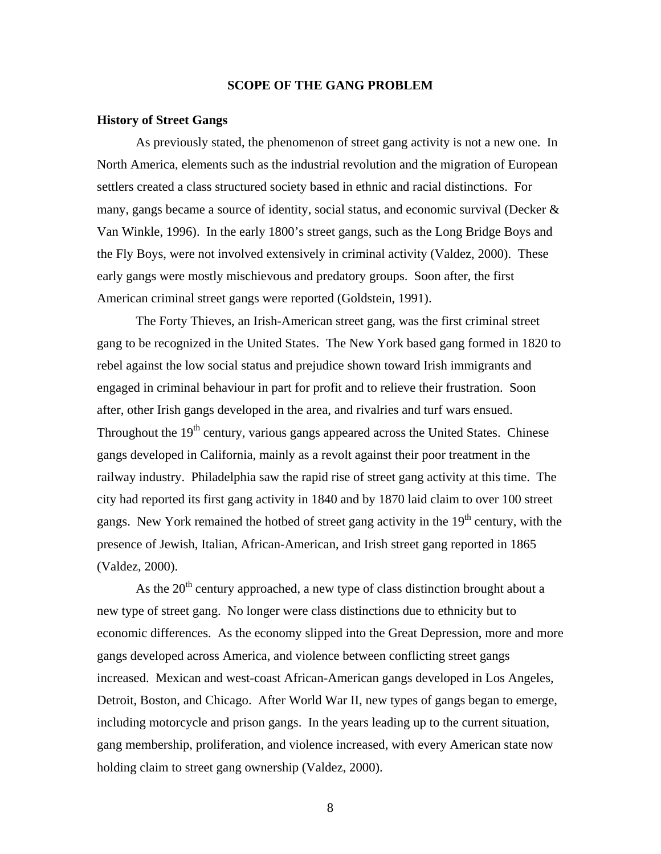### **SCOPE OF THE GANG PROBLEM**

#### **History of Street Gangs**

 As previously stated, the phenomenon of street gang activity is not a new one. In North America, elements such as the industrial revolution and the migration of European settlers created a class structured society based in ethnic and racial distinctions. For many, gangs became a source of identity, social status, and economic survival (Decker & Van Winkle, 1996). In the early 1800's street gangs, such as the Long Bridge Boys and the Fly Boys, were not involved extensively in criminal activity (Valdez, 2000). These early gangs were mostly mischievous and predatory groups. Soon after, the first American criminal street gangs were reported (Goldstein, 1991).

 The Forty Thieves, an Irish-American street gang, was the first criminal street gang to be recognized in the United States. The New York based gang formed in 1820 to rebel against the low social status and prejudice shown toward Irish immigrants and engaged in criminal behaviour in part for profit and to relieve their frustration. Soon after, other Irish gangs developed in the area, and rivalries and turf wars ensued. Throughout the  $19<sup>th</sup>$  century, various gangs appeared across the United States. Chinese gangs developed in California, mainly as a revolt against their poor treatment in the railway industry. Philadelphia saw the rapid rise of street gang activity at this time. The city had reported its first gang activity in 1840 and by 1870 laid claim to over 100 street gangs. New York remained the hotbed of street gang activity in the  $19<sup>th</sup>$  century, with the presence of Jewish, Italian, African-American, and Irish street gang reported in 1865 (Valdez, 2000).

As the  $20<sup>th</sup>$  century approached, a new type of class distinction brought about a new type of street gang. No longer were class distinctions due to ethnicity but to economic differences. As the economy slipped into the Great Depression, more and more gangs developed across America, and violence between conflicting street gangs increased. Mexican and west-coast African-American gangs developed in Los Angeles, Detroit, Boston, and Chicago. After World War II, new types of gangs began to emerge, including motorcycle and prison gangs. In the years leading up to the current situation, gang membership, proliferation, and violence increased, with every American state now holding claim to street gang ownership (Valdez, 2000).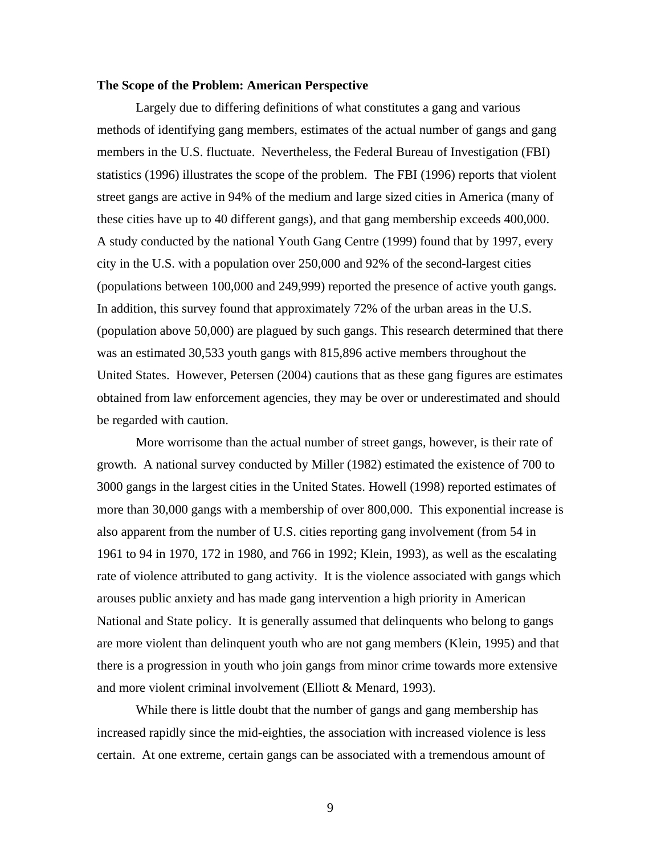### **The Scope of the Problem: American Perspective**

Largely due to differing definitions of what constitutes a gang and various methods of identifying gang members, estimates of the actual number of gangs and gang members in the U.S. fluctuate. Nevertheless, the Federal Bureau of Investigation (FBI) statistics (1996) illustrates the scope of the problem. The FBI (1996) reports that violent street gangs are active in 94% of the medium and large sized cities in America (many of these cities have up to 40 different gangs), and that gang membership exceeds 400,000. A study conducted by the national Youth Gang Centre (1999) found that by 1997, every city in the U.S. with a population over 250,000 and 92% of the second-largest cities (populations between 100,000 and 249,999) reported the presence of active youth gangs. In addition, this survey found that approximately 72% of the urban areas in the U.S. (population above 50,000) are plagued by such gangs. This research determined that there was an estimated 30,533 youth gangs with 815,896 active members throughout the United States. However, Petersen (2004) cautions that as these gang figures are estimates obtained from law enforcement agencies, they may be over or underestimated and should be regarded with caution.

More worrisome than the actual number of street gangs, however, is their rate of growth. A national survey conducted by Miller (1982) estimated the existence of 700 to 3000 gangs in the largest cities in the United States. Howell (1998) reported estimates of more than 30,000 gangs with a membership of over 800,000. This exponential increase is also apparent from the number of U.S. cities reporting gang involvement (from 54 in 1961 to 94 in 1970, 172 in 1980, and 766 in 1992; Klein, 1993), as well as the escalating rate of violence attributed to gang activity. It is the violence associated with gangs which arouses public anxiety and has made gang intervention a high priority in American National and State policy. It is generally assumed that delinquents who belong to gangs are more violent than delinquent youth who are not gang members (Klein, 1995) and that there is a progression in youth who join gangs from minor crime towards more extensive and more violent criminal involvement (Elliott & Menard, 1993).

While there is little doubt that the number of gangs and gang membership has increased rapidly since the mid-eighties, the association with increased violence is less certain. At one extreme, certain gangs can be associated with a tremendous amount of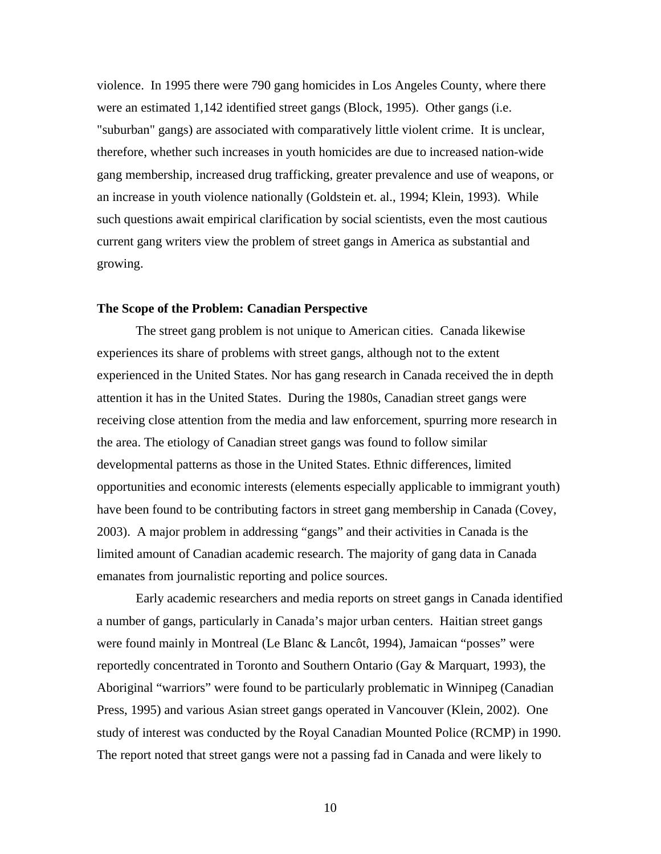violence. In 1995 there were 790 gang homicides in Los Angeles County, where there were an estimated 1,142 identified street gangs (Block, 1995). Other gangs (i.e. "suburban" gangs) are associated with comparatively little violent crime. It is unclear, therefore, whether such increases in youth homicides are due to increased nation-wide gang membership, increased drug trafficking, greater prevalence and use of weapons, or an increase in youth violence nationally (Goldstein et. al., 1994; Klein, 1993). While such questions await empirical clarification by social scientists, even the most cautious current gang writers view the problem of street gangs in America as substantial and growing.

### **The Scope of the Problem: Canadian Perspective**

The street gang problem is not unique to American cities. Canada likewise experiences its share of problems with street gangs, although not to the extent experienced in the United States. Nor has gang research in Canada received the in depth attention it has in the United States. During the 1980s, Canadian street gangs were receiving close attention from the media and law enforcement, spurring more research in the area. The etiology of Canadian street gangs was found to follow similar developmental patterns as those in the United States. Ethnic differences, limited opportunities and economic interests (elements especially applicable to immigrant youth) have been found to be contributing factors in street gang membership in Canada (Covey, 2003). A major problem in addressing "gangs" and their activities in Canada is the limited amount of Canadian academic research. The majority of gang data in Canada emanates from journalistic reporting and police sources.

Early academic researchers and media reports on street gangs in Canada identified a number of gangs, particularly in Canada's major urban centers. Haitian street gangs were found mainly in Montreal (Le Blanc & Lancôt, 1994), Jamaican "posses" were reportedly concentrated in Toronto and Southern Ontario (Gay & Marquart, 1993), the Aboriginal "warriors" were found to be particularly problematic in Winnipeg (Canadian Press, 1995) and various Asian street gangs operated in Vancouver (Klein, 2002). One study of interest was conducted by the Royal Canadian Mounted Police (RCMP) in 1990. The report noted that street gangs were not a passing fad in Canada and were likely to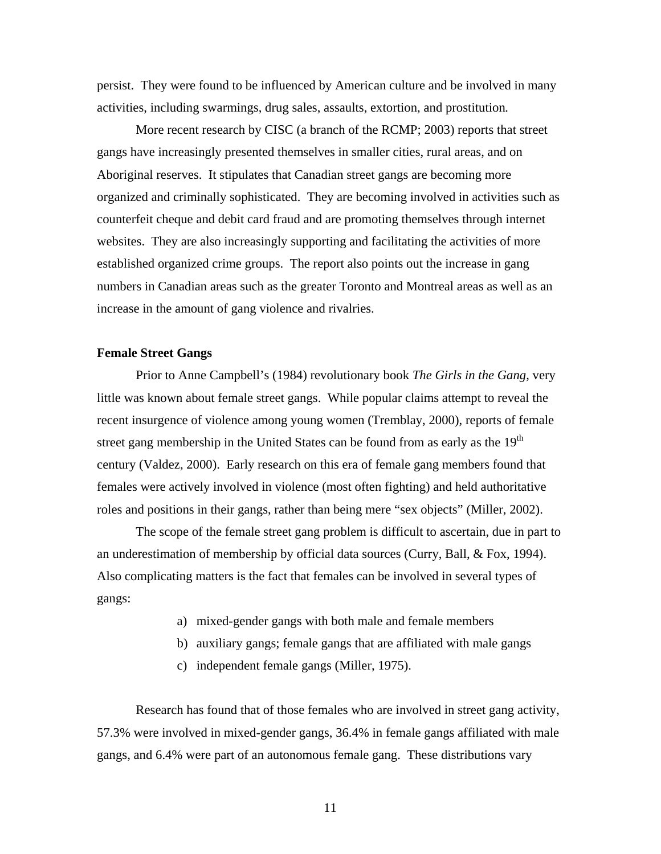persist. They were found to be influenced by American culture and be involved in many activities, including swarmings, drug sales, assaults, extortion, and prostitution*.*

More recent research by CISC (a branch of the RCMP; 2003) reports that street gangs have increasingly presented themselves in smaller cities, rural areas, and on Aboriginal reserves. It stipulates that Canadian street gangs are becoming more organized and criminally sophisticated. They are becoming involved in activities such as counterfeit cheque and debit card fraud and are promoting themselves through internet websites. They are also increasingly supporting and facilitating the activities of more established organized crime groups. The report also points out the increase in gang numbers in Canadian areas such as the greater Toronto and Montreal areas as well as an increase in the amount of gang violence and rivalries.

#### **Female Street Gangs**

 Prior to Anne Campbell's (1984) revolutionary book *The Girls in the Gang*, very little was known about female street gangs. While popular claims attempt to reveal the recent insurgence of violence among young women (Tremblay, 2000), reports of female street gang membership in the United States can be found from as early as the  $19<sup>th</sup>$ century (Valdez, 2000). Early research on this era of female gang members found that females were actively involved in violence (most often fighting) and held authoritative roles and positions in their gangs, rather than being mere "sex objects" (Miller, 2002).

The scope of the female street gang problem is difficult to ascertain, due in part to an underestimation of membership by official data sources (Curry, Ball, & Fox, 1994). Also complicating matters is the fact that females can be involved in several types of gangs:

- a) mixed-gender gangs with both male and female members
- b) auxiliary gangs; female gangs that are affiliated with male gangs
- c) independent female gangs (Miller, 1975).

Research has found that of those females who are involved in street gang activity, 57.3% were involved in mixed-gender gangs, 36.4% in female gangs affiliated with male gangs, and 6.4% were part of an autonomous female gang. These distributions vary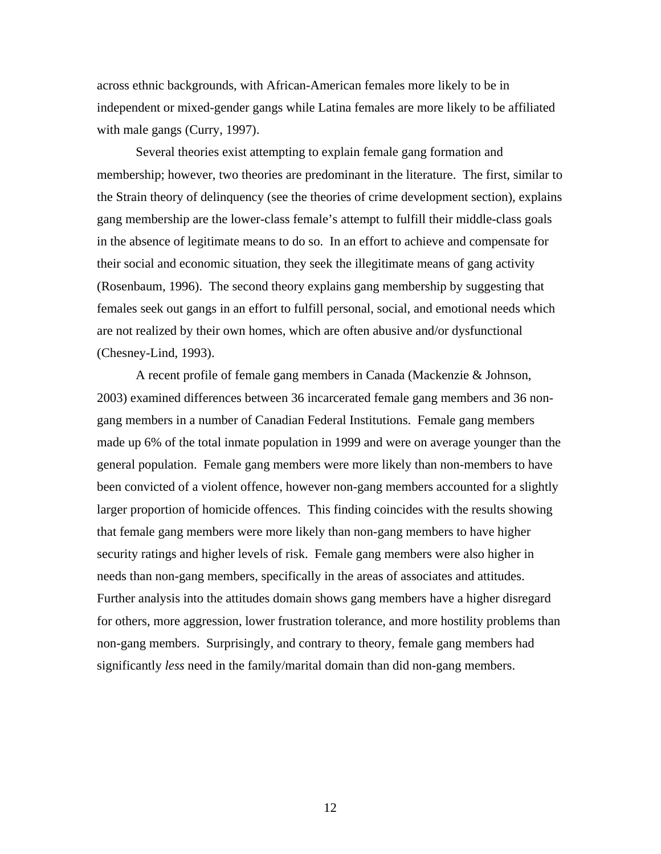across ethnic backgrounds, with African-American females more likely to be in independent or mixed-gender gangs while Latina females are more likely to be affiliated with male gangs (Curry, 1997).

 Several theories exist attempting to explain female gang formation and membership; however, two theories are predominant in the literature. The first, similar to the Strain theory of delinquency (see the theories of crime development section), explains gang membership are the lower-class female's attempt to fulfill their middle-class goals in the absence of legitimate means to do so. In an effort to achieve and compensate for their social and economic situation, they seek the illegitimate means of gang activity (Rosenbaum, 1996). The second theory explains gang membership by suggesting that females seek out gangs in an effort to fulfill personal, social, and emotional needs which are not realized by their own homes, which are often abusive and/or dysfunctional (Chesney-Lind, 1993).

 A recent profile of female gang members in Canada (Mackenzie & Johnson, 2003) examined differences between 36 incarcerated female gang members and 36 nongang members in a number of Canadian Federal Institutions. Female gang members made up 6% of the total inmate population in 1999 and were on average younger than the general population. Female gang members were more likely than non-members to have been convicted of a violent offence, however non-gang members accounted for a slightly larger proportion of homicide offences. This finding coincides with the results showing that female gang members were more likely than non-gang members to have higher security ratings and higher levels of risk. Female gang members were also higher in needs than non-gang members, specifically in the areas of associates and attitudes. Further analysis into the attitudes domain shows gang members have a higher disregard for others, more aggression, lower frustration tolerance, and more hostility problems than non-gang members. Surprisingly, and contrary to theory, female gang members had significantly *less* need in the family/marital domain than did non-gang members.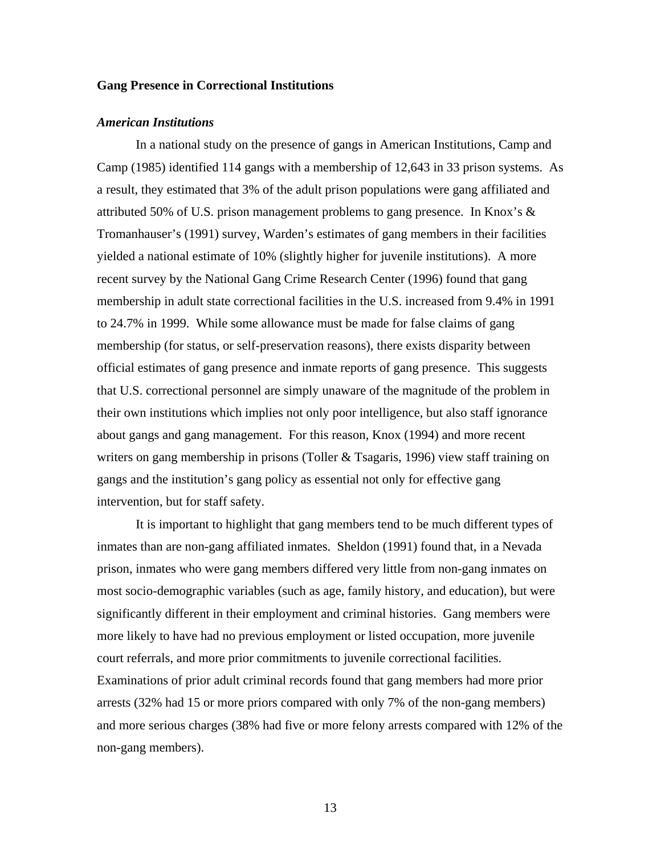### **Gang Presence in Correctional Institutions**

#### *American Institutions*

In a national study on the presence of gangs in American Institutions, Camp and Camp (1985) identified 114 gangs with a membership of 12,643 in 33 prison systems. As a result, they estimated that 3% of the adult prison populations were gang affiliated and attributed 50% of U.S. prison management problems to gang presence. In Knox's  $\&$ Tromanhauser's (1991) survey, Warden's estimates of gang members in their facilities yielded a national estimate of 10% (slightly higher for juvenile institutions). A more recent survey by the National Gang Crime Research Center (1996) found that gang membership in adult state correctional facilities in the U.S. increased from 9.4% in 1991 to 24.7% in 1999. While some allowance must be made for false claims of gang membership (for status, or self-preservation reasons), there exists disparity between official estimates of gang presence and inmate reports of gang presence. This suggests that U.S. correctional personnel are simply unaware of the magnitude of the problem in their own institutions which implies not only poor intelligence, but also staff ignorance about gangs and gang management. For this reason, Knox (1994) and more recent writers on gang membership in prisons (Toller & Tsagaris, 1996) view staff training on gangs and the institution's gang policy as essential not only for effective gang intervention, but for staff safety.

It is important to highlight that gang members tend to be much different types of inmates than are non-gang affiliated inmates. Sheldon (1991) found that, in a Nevada prison, inmates who were gang members differed very little from non-gang inmates on most socio-demographic variables (such as age, family history, and education), but were significantly different in their employment and criminal histories. Gang members were more likely to have had no previous employment or listed occupation, more juvenile court referrals, and more prior commitments to juvenile correctional facilities. Examinations of prior adult criminal records found that gang members had more prior arrests (32% had 15 or more priors compared with only 7% of the non-gang members) and more serious charges (38% had five or more felony arrests compared with 12% of the non-gang members).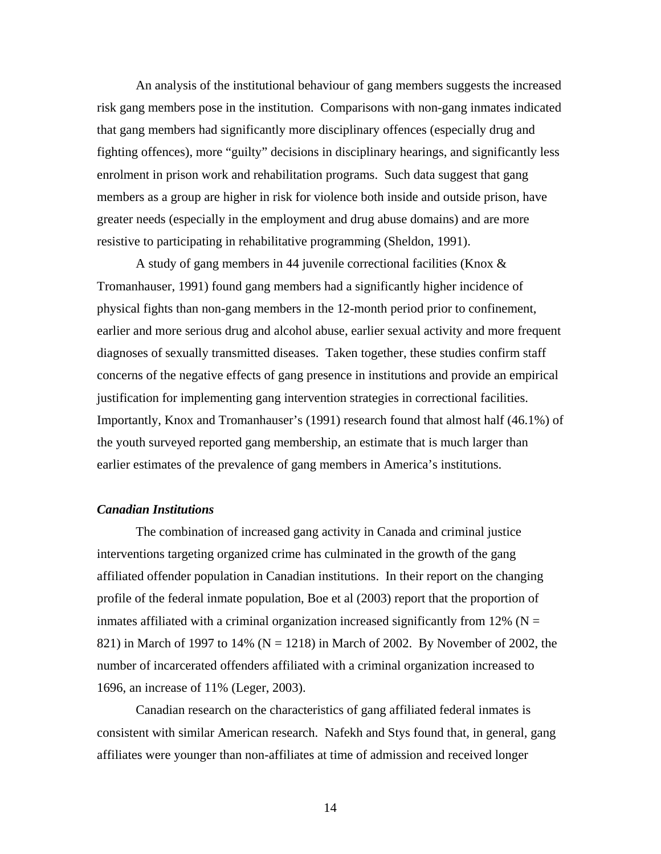An analysis of the institutional behaviour of gang members suggests the increased risk gang members pose in the institution. Comparisons with non-gang inmates indicated that gang members had significantly more disciplinary offences (especially drug and fighting offences), more "guilty" decisions in disciplinary hearings, and significantly less enrolment in prison work and rehabilitation programs. Such data suggest that gang members as a group are higher in risk for violence both inside and outside prison, have greater needs (especially in the employment and drug abuse domains) and are more resistive to participating in rehabilitative programming (Sheldon, 1991).

A study of gang members in 44 juvenile correctional facilities (Knox & Tromanhauser, 1991) found gang members had a significantly higher incidence of physical fights than non-gang members in the 12-month period prior to confinement, earlier and more serious drug and alcohol abuse, earlier sexual activity and more frequent diagnoses of sexually transmitted diseases. Taken together, these studies confirm staff concerns of the negative effects of gang presence in institutions and provide an empirical justification for implementing gang intervention strategies in correctional facilities. Importantly, Knox and Tromanhauser's (1991) research found that almost half (46.1%) of the youth surveyed reported gang membership, an estimate that is much larger than earlier estimates of the prevalence of gang members in America's institutions.

### *Canadian Institutions*

 The combination of increased gang activity in Canada and criminal justice interventions targeting organized crime has culminated in the growth of the gang affiliated offender population in Canadian institutions. In their report on the changing profile of the federal inmate population, Boe et al (2003) report that the proportion of inmates affiliated with a criminal organization increased significantly from 12% ( $N =$ 821) in March of 1997 to 14% ( $N = 1218$ ) in March of 2002. By November of 2002, the number of incarcerated offenders affiliated with a criminal organization increased to 1696, an increase of 11% (Leger, 2003).

 Canadian research on the characteristics of gang affiliated federal inmates is consistent with similar American research. Nafekh and Stys found that, in general, gang affiliates were younger than non-affiliates at time of admission and received longer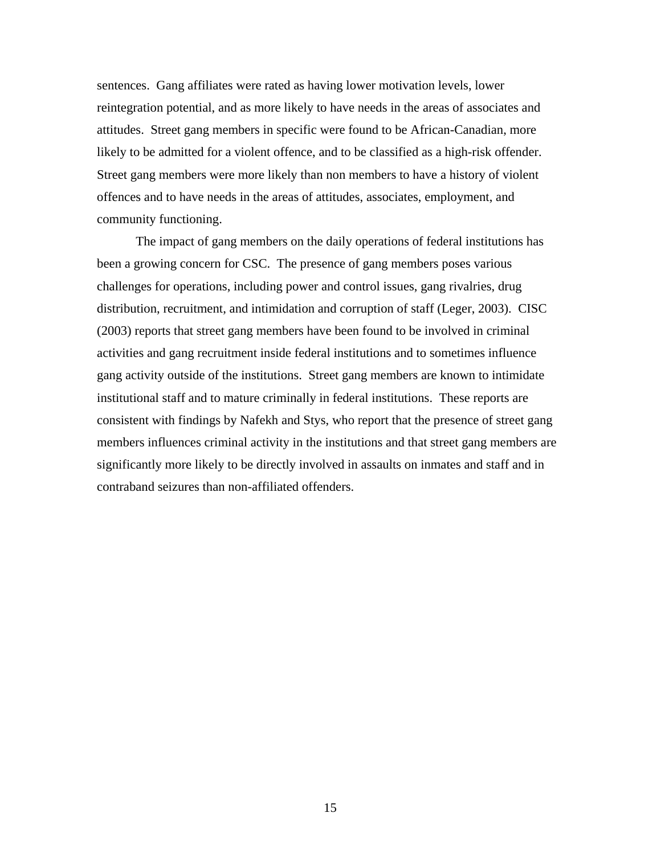sentences. Gang affiliates were rated as having lower motivation levels, lower reintegration potential, and as more likely to have needs in the areas of associates and attitudes. Street gang members in specific were found to be African-Canadian, more likely to be admitted for a violent offence, and to be classified as a high-risk offender. Street gang members were more likely than non members to have a history of violent offences and to have needs in the areas of attitudes, associates, employment, and community functioning.

 The impact of gang members on the daily operations of federal institutions has been a growing concern for CSC. The presence of gang members poses various challenges for operations, including power and control issues, gang rivalries, drug distribution, recruitment, and intimidation and corruption of staff (Leger, 2003). CISC (2003) reports that street gang members have been found to be involved in criminal activities and gang recruitment inside federal institutions and to sometimes influence gang activity outside of the institutions. Street gang members are known to intimidate institutional staff and to mature criminally in federal institutions. These reports are consistent with findings by Nafekh and Stys, who report that the presence of street gang members influences criminal activity in the institutions and that street gang members are significantly more likely to be directly involved in assaults on inmates and staff and in contraband seizures than non-affiliated offenders.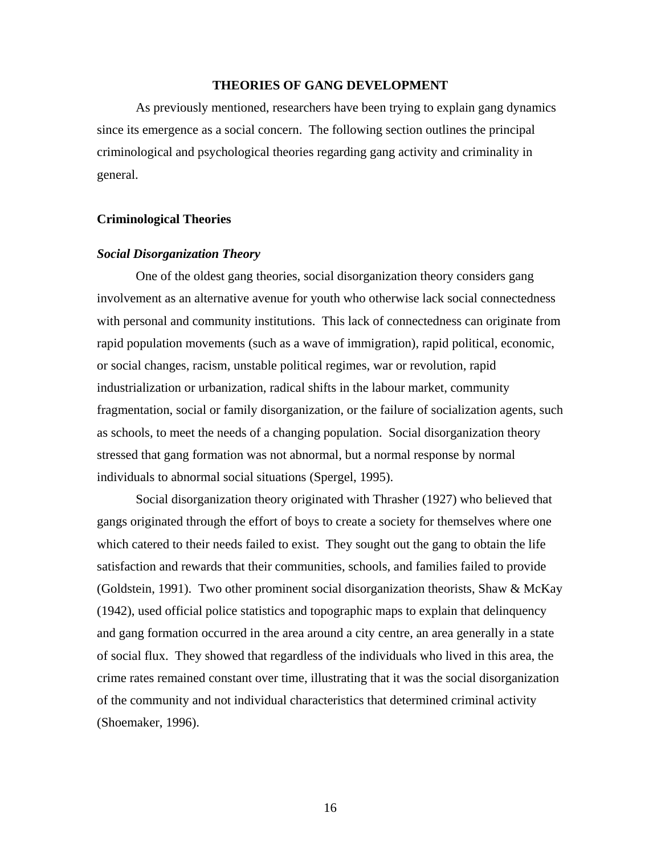### **THEORIES OF GANG DEVELOPMENT**

 As previously mentioned, researchers have been trying to explain gang dynamics since its emergence as a social concern. The following section outlines the principal criminological and psychological theories regarding gang activity and criminality in general.

### **Criminological Theories**

### *Social Disorganization Theory*

One of the oldest gang theories, social disorganization theory considers gang involvement as an alternative avenue for youth who otherwise lack social connectedness with personal and community institutions. This lack of connectedness can originate from rapid population movements (such as a wave of immigration), rapid political, economic, or social changes, racism, unstable political regimes, war or revolution, rapid industrialization or urbanization, radical shifts in the labour market, community fragmentation, social or family disorganization, or the failure of socialization agents, such as schools, to meet the needs of a changing population. Social disorganization theory stressed that gang formation was not abnormal, but a normal response by normal individuals to abnormal social situations (Spergel, 1995).

Social disorganization theory originated with Thrasher (1927) who believed that gangs originated through the effort of boys to create a society for themselves where one which catered to their needs failed to exist. They sought out the gang to obtain the life satisfaction and rewards that their communities, schools, and families failed to provide (Goldstein, 1991). Two other prominent social disorganization theorists, Shaw & McKay (1942), used official police statistics and topographic maps to explain that delinquency and gang formation occurred in the area around a city centre, an area generally in a state of social flux. They showed that regardless of the individuals who lived in this area, the crime rates remained constant over time, illustrating that it was the social disorganization of the community and not individual characteristics that determined criminal activity (Shoemaker, 1996).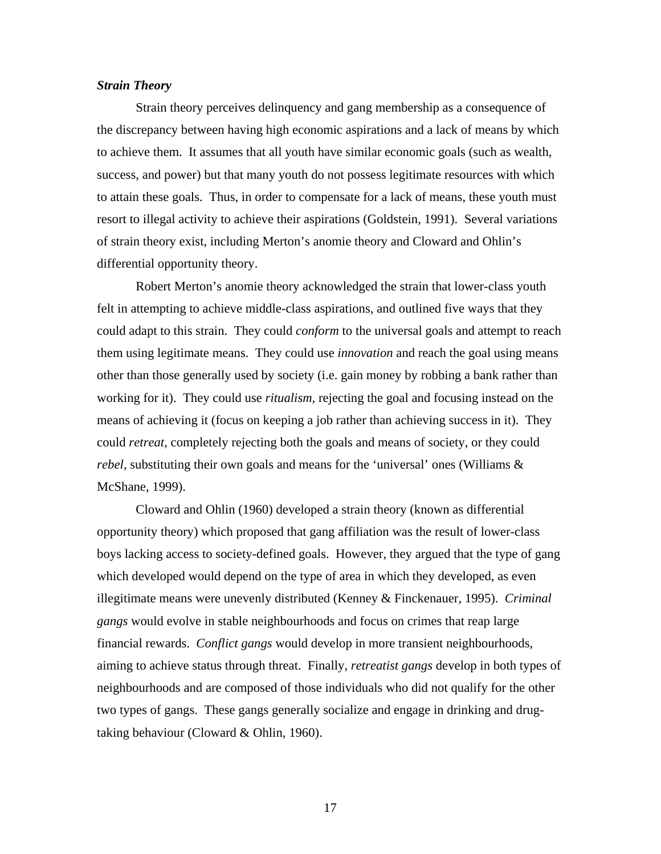### *Strain Theory*

Strain theory perceives delinquency and gang membership as a consequence of the discrepancy between having high economic aspirations and a lack of means by which to achieve them. It assumes that all youth have similar economic goals (such as wealth, success, and power) but that many youth do not possess legitimate resources with which to attain these goals. Thus, in order to compensate for a lack of means, these youth must resort to illegal activity to achieve their aspirations (Goldstein, 1991). Several variations of strain theory exist, including Merton's anomie theory and Cloward and Ohlin's differential opportunity theory.

Robert Merton's anomie theory acknowledged the strain that lower-class youth felt in attempting to achieve middle-class aspirations, and outlined five ways that they could adapt to this strain. They could *conform* to the universal goals and attempt to reach them using legitimate means. They could use *innovation* and reach the goal using means other than those generally used by society (i.e. gain money by robbing a bank rather than working for it). They could use *ritualism*, rejecting the goal and focusing instead on the means of achieving it (focus on keeping a job rather than achieving success in it). They could *retreat*, completely rejecting both the goals and means of society, or they could *rebel*, substituting their own goals and means for the 'universal' ones (Williams & McShane, 1999).

Cloward and Ohlin (1960) developed a strain theory (known as differential opportunity theory) which proposed that gang affiliation was the result of lower-class boys lacking access to society-defined goals. However, they argued that the type of gang which developed would depend on the type of area in which they developed, as even illegitimate means were unevenly distributed (Kenney & Finckenauer, 1995). *Criminal gangs* would evolve in stable neighbourhoods and focus on crimes that reap large financial rewards. *Conflict gangs* would develop in more transient neighbourhoods, aiming to achieve status through threat. Finally, *retreatist gangs* develop in both types of neighbourhoods and are composed of those individuals who did not qualify for the other two types of gangs. These gangs generally socialize and engage in drinking and drugtaking behaviour (Cloward & Ohlin, 1960).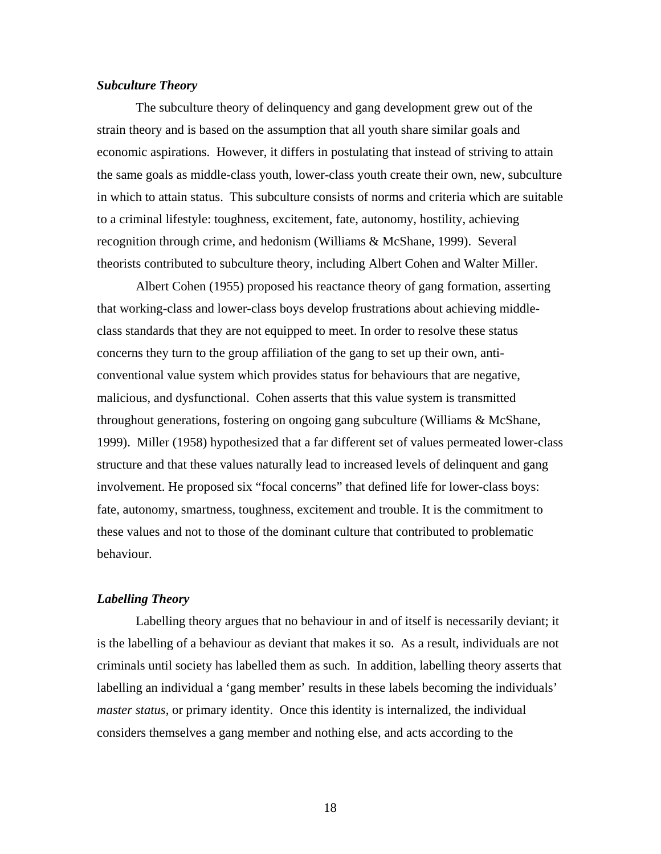### *Subculture Theory*

The subculture theory of delinquency and gang development grew out of the strain theory and is based on the assumption that all youth share similar goals and economic aspirations. However, it differs in postulating that instead of striving to attain the same goals as middle-class youth, lower-class youth create their own, new, subculture in which to attain status. This subculture consists of norms and criteria which are suitable to a criminal lifestyle: toughness, excitement, fate, autonomy, hostility, achieving recognition through crime, and hedonism (Williams & McShane, 1999). Several theorists contributed to subculture theory, including Albert Cohen and Walter Miller.

Albert Cohen (1955) proposed his reactance theory of gang formation, asserting that working-class and lower-class boys develop frustrations about achieving middleclass standards that they are not equipped to meet. In order to resolve these status concerns they turn to the group affiliation of the gang to set up their own, anticonventional value system which provides status for behaviours that are negative, malicious, and dysfunctional. Cohen asserts that this value system is transmitted throughout generations, fostering on ongoing gang subculture (Williams & McShane, 1999). Miller (1958) hypothesized that a far different set of values permeated lower-class structure and that these values naturally lead to increased levels of delinquent and gang involvement. He proposed six "focal concerns" that defined life for lower-class boys: fate, autonomy, smartness, toughness, excitement and trouble. It is the commitment to these values and not to those of the dominant culture that contributed to problematic behaviour.

### *Labelling Theory*

Labelling theory argues that no behaviour in and of itself is necessarily deviant; it is the labelling of a behaviour as deviant that makes it so. As a result, individuals are not criminals until society has labelled them as such. In addition, labelling theory asserts that labelling an individual a 'gang member' results in these labels becoming the individuals' *master status*, or primary identity. Once this identity is internalized, the individual considers themselves a gang member and nothing else, and acts according to the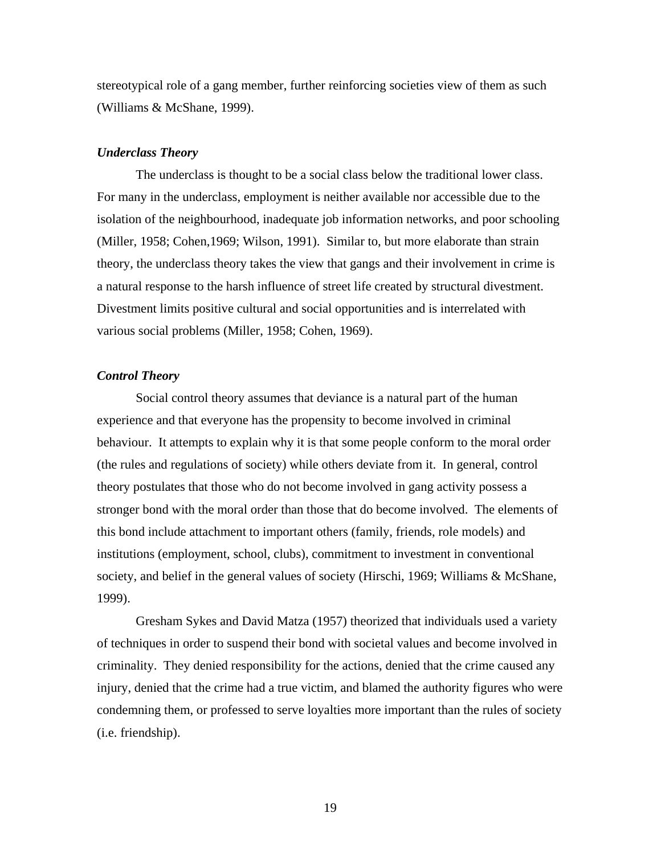stereotypical role of a gang member, further reinforcing societies view of them as such (Williams & McShane, 1999).

#### *Underclass Theory*

The underclass is thought to be a social class below the traditional lower class. For many in the underclass, employment is neither available nor accessible due to the isolation of the neighbourhood, inadequate job information networks, and poor schooling (Miller, 1958; Cohen,1969; Wilson, 1991). Similar to, but more elaborate than strain theory, the underclass theory takes the view that gangs and their involvement in crime is a natural response to the harsh influence of street life created by structural divestment. Divestment limits positive cultural and social opportunities and is interrelated with various social problems (Miller, 1958; Cohen, 1969).

### *Control Theory*

 Social control theory assumes that deviance is a natural part of the human experience and that everyone has the propensity to become involved in criminal behaviour. It attempts to explain why it is that some people conform to the moral order (the rules and regulations of society) while others deviate from it. In general, control theory postulates that those who do not become involved in gang activity possess a stronger bond with the moral order than those that do become involved. The elements of this bond include attachment to important others (family, friends, role models) and institutions (employment, school, clubs), commitment to investment in conventional society, and belief in the general values of society (Hirschi, 1969; Williams & McShane, 1999).

Gresham Sykes and David Matza (1957) theorized that individuals used a variety of techniques in order to suspend their bond with societal values and become involved in criminality. They denied responsibility for the actions, denied that the crime caused any injury, denied that the crime had a true victim, and blamed the authority figures who were condemning them, or professed to serve loyalties more important than the rules of society (i.e. friendship).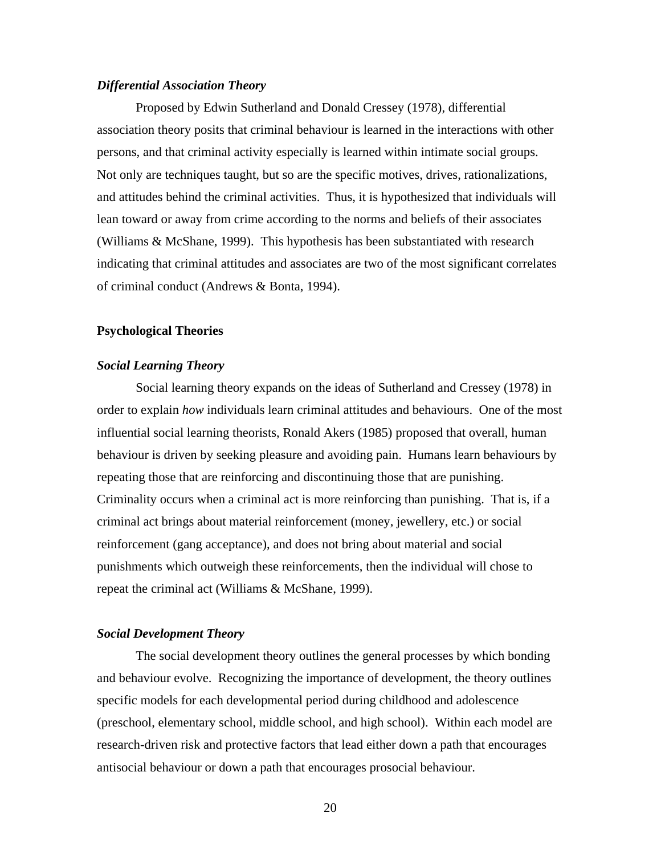### *Differential Association Theory*

 Proposed by Edwin Sutherland and Donald Cressey (1978), differential association theory posits that criminal behaviour is learned in the interactions with other persons, and that criminal activity especially is learned within intimate social groups. Not only are techniques taught, but so are the specific motives, drives, rationalizations, and attitudes behind the criminal activities. Thus, it is hypothesized that individuals will lean toward or away from crime according to the norms and beliefs of their associates (Williams & McShane, 1999). This hypothesis has been substantiated with research indicating that criminal attitudes and associates are two of the most significant correlates of criminal conduct (Andrews & Bonta, 1994).

### **Psychological Theories**

#### *Social Learning Theory*

 Social learning theory expands on the ideas of Sutherland and Cressey (1978) in order to explain *how* individuals learn criminal attitudes and behaviours. One of the most influential social learning theorists, Ronald Akers (1985) proposed that overall, human behaviour is driven by seeking pleasure and avoiding pain. Humans learn behaviours by repeating those that are reinforcing and discontinuing those that are punishing. Criminality occurs when a criminal act is more reinforcing than punishing. That is, if a criminal act brings about material reinforcement (money, jewellery, etc.) or social reinforcement (gang acceptance), and does not bring about material and social punishments which outweigh these reinforcements, then the individual will chose to repeat the criminal act (Williams & McShane, 1999).

### *Social Development Theory*

 The social development theory outlines the general processes by which bonding and behaviour evolve. Recognizing the importance of development, the theory outlines specific models for each developmental period during childhood and adolescence (preschool, elementary school, middle school, and high school). Within each model are research-driven risk and protective factors that lead either down a path that encourages antisocial behaviour or down a path that encourages prosocial behaviour.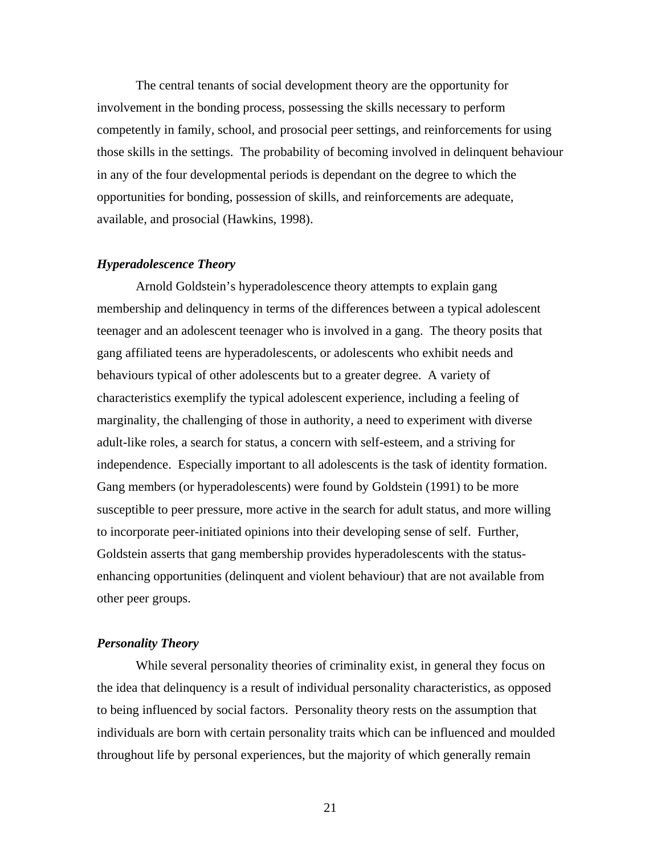The central tenants of social development theory are the opportunity for involvement in the bonding process, possessing the skills necessary to perform competently in family, school, and prosocial peer settings, and reinforcements for using those skills in the settings. The probability of becoming involved in delinquent behaviour in any of the four developmental periods is dependant on the degree to which the opportunities for bonding, possession of skills, and reinforcements are adequate, available, and prosocial (Hawkins, 1998).

### *Hyperadolescence Theory*

Arnold Goldstein's hyperadolescence theory attempts to explain gang membership and delinquency in terms of the differences between a typical adolescent teenager and an adolescent teenager who is involved in a gang. The theory posits that gang affiliated teens are hyperadolescents, or adolescents who exhibit needs and behaviours typical of other adolescents but to a greater degree. A variety of characteristics exemplify the typical adolescent experience, including a feeling of marginality, the challenging of those in authority, a need to experiment with diverse adult-like roles, a search for status, a concern with self-esteem, and a striving for independence. Especially important to all adolescents is the task of identity formation. Gang members (or hyperadolescents) were found by Goldstein (1991) to be more susceptible to peer pressure, more active in the search for adult status, and more willing to incorporate peer-initiated opinions into their developing sense of self. Further, Goldstein asserts that gang membership provides hyperadolescents with the statusenhancing opportunities (delinquent and violent behaviour) that are not available from other peer groups.

#### *Personality Theory*

 While several personality theories of criminality exist, in general they focus on the idea that delinquency is a result of individual personality characteristics, as opposed to being influenced by social factors. Personality theory rests on the assumption that individuals are born with certain personality traits which can be influenced and moulded throughout life by personal experiences, but the majority of which generally remain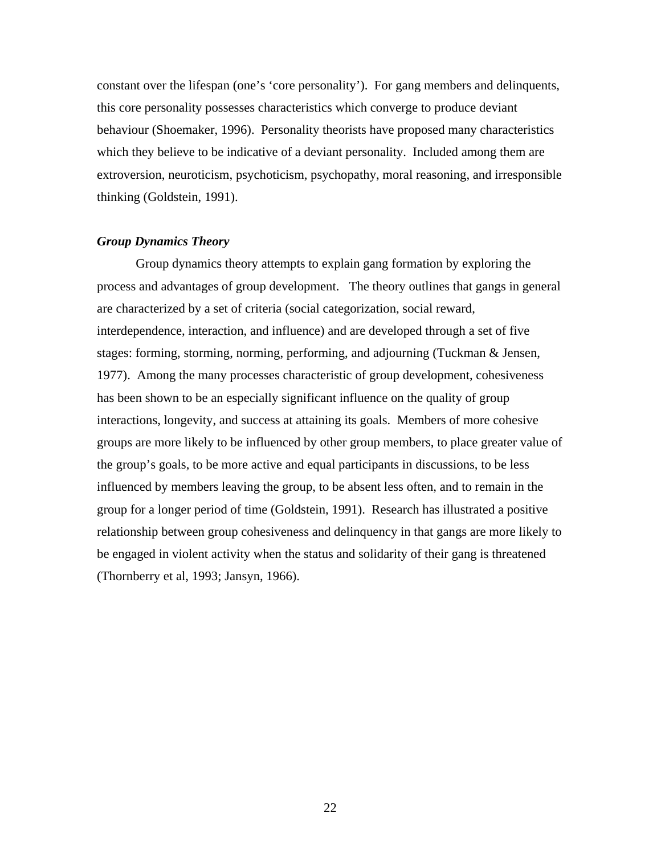constant over the lifespan (one's 'core personality'). For gang members and delinquents, this core personality possesses characteristics which converge to produce deviant behaviour (Shoemaker, 1996). Personality theorists have proposed many characteristics which they believe to be indicative of a deviant personality. Included among them are extroversion, neuroticism, psychoticism, psychopathy, moral reasoning, and irresponsible thinking (Goldstein, 1991).

### *Group Dynamics Theory*

 Group dynamics theory attempts to explain gang formation by exploring the process and advantages of group development. The theory outlines that gangs in general are characterized by a set of criteria (social categorization, social reward, interdependence, interaction, and influence) and are developed through a set of five stages: forming, storming, norming, performing, and adjourning (Tuckman & Jensen, 1977). Among the many processes characteristic of group development, cohesiveness has been shown to be an especially significant influence on the quality of group interactions, longevity, and success at attaining its goals. Members of more cohesive groups are more likely to be influenced by other group members, to place greater value of the group's goals, to be more active and equal participants in discussions, to be less influenced by members leaving the group, to be absent less often, and to remain in the group for a longer period of time (Goldstein, 1991). Research has illustrated a positive relationship between group cohesiveness and delinquency in that gangs are more likely to be engaged in violent activity when the status and solidarity of their gang is threatened (Thornberry et al, 1993; Jansyn, 1966).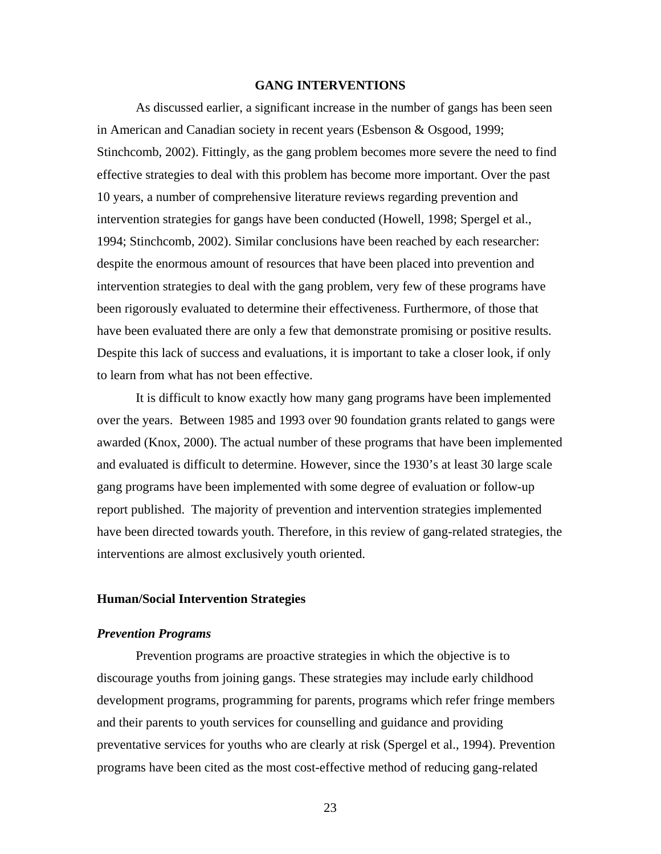### **GANG INTERVENTIONS**

As discussed earlier, a significant increase in the number of gangs has been seen in American and Canadian society in recent years (Esbenson & Osgood, 1999; Stinchcomb, 2002). Fittingly, as the gang problem becomes more severe the need to find effective strategies to deal with this problem has become more important. Over the past 10 years, a number of comprehensive literature reviews regarding prevention and intervention strategies for gangs have been conducted (Howell, 1998; Spergel et al., 1994; Stinchcomb, 2002). Similar conclusions have been reached by each researcher: despite the enormous amount of resources that have been placed into prevention and intervention strategies to deal with the gang problem, very few of these programs have been rigorously evaluated to determine their effectiveness. Furthermore, of those that have been evaluated there are only a few that demonstrate promising or positive results. Despite this lack of success and evaluations, it is important to take a closer look, if only to learn from what has not been effective.

It is difficult to know exactly how many gang programs have been implemented over the years. Between 1985 and 1993 over 90 foundation grants related to gangs were awarded (Knox, 2000). The actual number of these programs that have been implemented and evaluated is difficult to determine. However, since the 1930's at least 30 large scale gang programs have been implemented with some degree of evaluation or follow-up report published. The majority of prevention and intervention strategies implemented have been directed towards youth. Therefore, in this review of gang-related strategies, the interventions are almost exclusively youth oriented.

### **Human/Social Intervention Strategies**

### *Prevention Programs*

Prevention programs are proactive strategies in which the objective is to discourage youths from joining gangs. These strategies may include early childhood development programs, programming for parents, programs which refer fringe members and their parents to youth services for counselling and guidance and providing preventative services for youths who are clearly at risk (Spergel et al., 1994). Prevention programs have been cited as the most cost-effective method of reducing gang-related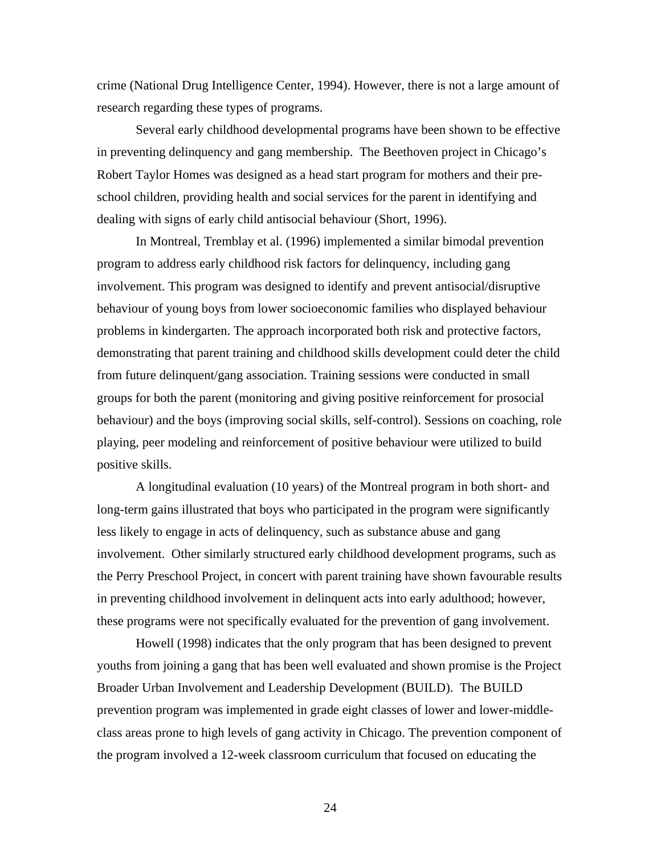crime (National Drug Intelligence Center, 1994). However, there is not a large amount of research regarding these types of programs.

Several early childhood developmental programs have been shown to be effective in preventing delinquency and gang membership. The Beethoven project in Chicago's Robert Taylor Homes was designed as a head start program for mothers and their preschool children, providing health and social services for the parent in identifying and dealing with signs of early child antisocial behaviour (Short, 1996).

In Montreal, Tremblay et al. (1996) implemented a similar bimodal prevention program to address early childhood risk factors for delinquency, including gang involvement. This program was designed to identify and prevent antisocial/disruptive behaviour of young boys from lower socioeconomic families who displayed behaviour problems in kindergarten. The approach incorporated both risk and protective factors, demonstrating that parent training and childhood skills development could deter the child from future delinquent/gang association. Training sessions were conducted in small groups for both the parent (monitoring and giving positive reinforcement for prosocial behaviour) and the boys (improving social skills, self-control). Sessions on coaching, role playing, peer modeling and reinforcement of positive behaviour were utilized to build positive skills.

A longitudinal evaluation (10 years) of the Montreal program in both short- and long-term gains illustrated that boys who participated in the program were significantly less likely to engage in acts of delinquency, such as substance abuse and gang involvement. Other similarly structured early childhood development programs, such as the Perry Preschool Project, in concert with parent training have shown favourable results in preventing childhood involvement in delinquent acts into early adulthood; however, these programs were not specifically evaluated for the prevention of gang involvement.

Howell (1998) indicates that the only program that has been designed to prevent youths from joining a gang that has been well evaluated and shown promise is the Project Broader Urban Involvement and Leadership Development (BUILD). The BUILD prevention program was implemented in grade eight classes of lower and lower-middleclass areas prone to high levels of gang activity in Chicago. The prevention component of the program involved a 12-week classroom curriculum that focused on educating the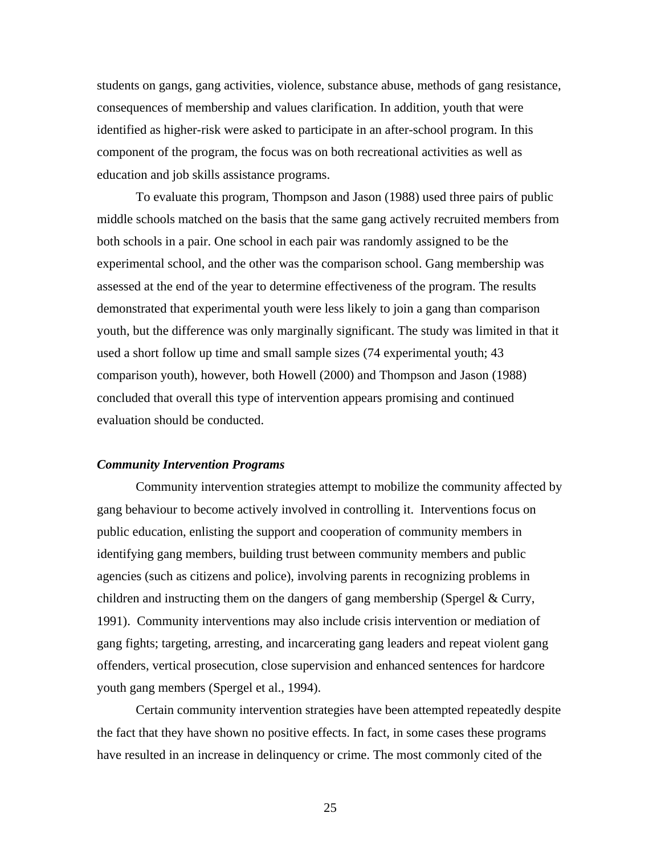students on gangs, gang activities, violence, substance abuse, methods of gang resistance, consequences of membership and values clarification. In addition, youth that were identified as higher-risk were asked to participate in an after-school program. In this component of the program, the focus was on both recreational activities as well as education and job skills assistance programs.

To evaluate this program, Thompson and Jason (1988) used three pairs of public middle schools matched on the basis that the same gang actively recruited members from both schools in a pair. One school in each pair was randomly assigned to be the experimental school, and the other was the comparison school. Gang membership was assessed at the end of the year to determine effectiveness of the program. The results demonstrated that experimental youth were less likely to join a gang than comparison youth, but the difference was only marginally significant. The study was limited in that it used a short follow up time and small sample sizes (74 experimental youth; 43 comparison youth), however, both Howell (2000) and Thompson and Jason (1988) concluded that overall this type of intervention appears promising and continued evaluation should be conducted.

### *Community Intervention Programs*

Community intervention strategies attempt to mobilize the community affected by gang behaviour to become actively involved in controlling it. Interventions focus on public education, enlisting the support and cooperation of community members in identifying gang members, building trust between community members and public agencies (such as citizens and police), involving parents in recognizing problems in children and instructing them on the dangers of gang membership (Spergel & Curry, 1991). Community interventions may also include crisis intervention or mediation of gang fights; targeting, arresting, and incarcerating gang leaders and repeat violent gang offenders, vertical prosecution, close supervision and enhanced sentences for hardcore youth gang members (Spergel et al., 1994).

Certain community intervention strategies have been attempted repeatedly despite the fact that they have shown no positive effects. In fact, in some cases these programs have resulted in an increase in delinquency or crime. The most commonly cited of the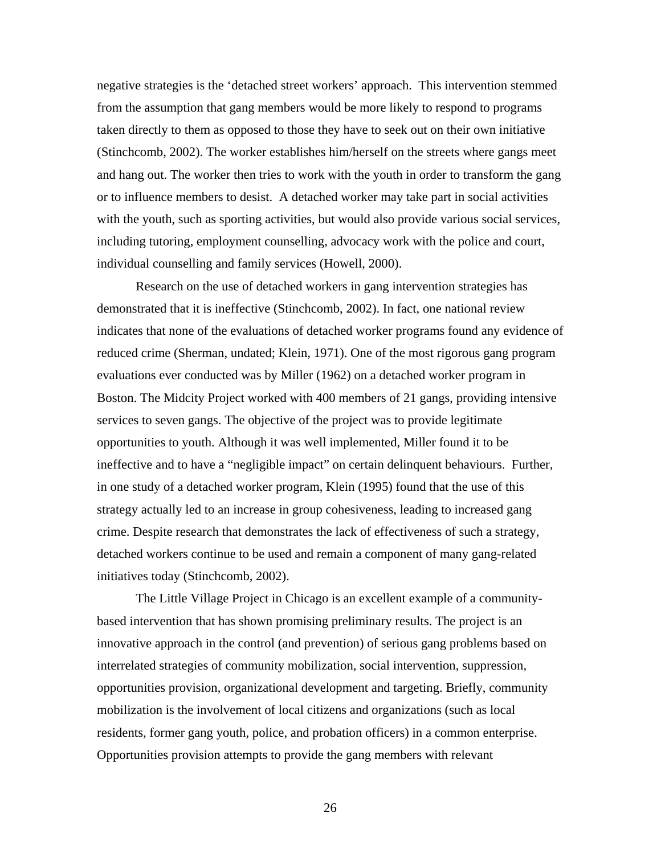negative strategies is the 'detached street workers' approach. This intervention stemmed from the assumption that gang members would be more likely to respond to programs taken directly to them as opposed to those they have to seek out on their own initiative (Stinchcomb, 2002). The worker establishes him/herself on the streets where gangs meet and hang out. The worker then tries to work with the youth in order to transform the gang or to influence members to desist. A detached worker may take part in social activities with the youth, such as sporting activities, but would also provide various social services, including tutoring, employment counselling, advocacy work with the police and court, individual counselling and family services (Howell, 2000).

Research on the use of detached workers in gang intervention strategies has demonstrated that it is ineffective (Stinchcomb, 2002). In fact, one national review indicates that none of the evaluations of detached worker programs found any evidence of reduced crime (Sherman, undated; Klein, 1971). One of the most rigorous gang program evaluations ever conducted was by Miller (1962) on a detached worker program in Boston. The Midcity Project worked with 400 members of 21 gangs, providing intensive services to seven gangs. The objective of the project was to provide legitimate opportunities to youth. Although it was well implemented, Miller found it to be ineffective and to have a "negligible impact" on certain delinquent behaviours. Further, in one study of a detached worker program, Klein (1995) found that the use of this strategy actually led to an increase in group cohesiveness, leading to increased gang crime. Despite research that demonstrates the lack of effectiveness of such a strategy, detached workers continue to be used and remain a component of many gang-related initiatives today (Stinchcomb, 2002).

The Little Village Project in Chicago is an excellent example of a communitybased intervention that has shown promising preliminary results. The project is an innovative approach in the control (and prevention) of serious gang problems based on interrelated strategies of community mobilization, social intervention, suppression, opportunities provision, organizational development and targeting. Briefly, community mobilization is the involvement of local citizens and organizations (such as local residents, former gang youth, police, and probation officers) in a common enterprise. Opportunities provision attempts to provide the gang members with relevant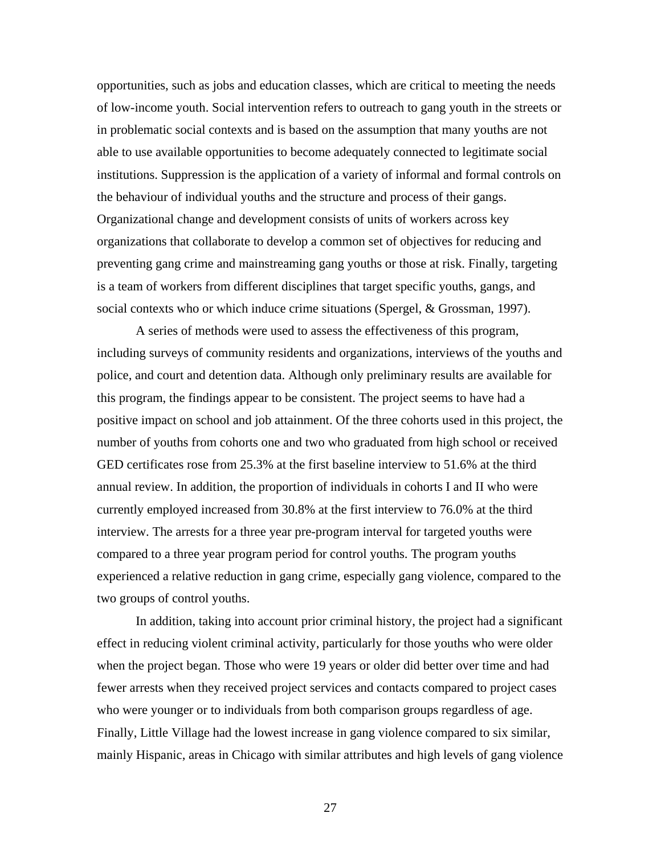opportunities, such as jobs and education classes, which are critical to meeting the needs of low-income youth. Social intervention refers to outreach to gang youth in the streets or in problematic social contexts and is based on the assumption that many youths are not able to use available opportunities to become adequately connected to legitimate social institutions. Suppression is the application of a variety of informal and formal controls on the behaviour of individual youths and the structure and process of their gangs. Organizational change and development consists of units of workers across key organizations that collaborate to develop a common set of objectives for reducing and preventing gang crime and mainstreaming gang youths or those at risk. Finally, targeting is a team of workers from different disciplines that target specific youths, gangs, and social contexts who or which induce crime situations (Spergel, & Grossman, 1997).

A series of methods were used to assess the effectiveness of this program, including surveys of community residents and organizations, interviews of the youths and police, and court and detention data. Although only preliminary results are available for this program, the findings appear to be consistent. The project seems to have had a positive impact on school and job attainment. Of the three cohorts used in this project, the number of youths from cohorts one and two who graduated from high school or received GED certificates rose from 25.3% at the first baseline interview to 51.6% at the third annual review. In addition, the proportion of individuals in cohorts I and II who were currently employed increased from 30.8% at the first interview to 76.0% at the third interview. The arrests for a three year pre-program interval for targeted youths were compared to a three year program period for control youths. The program youths experienced a relative reduction in gang crime, especially gang violence, compared to the two groups of control youths.

In addition, taking into account prior criminal history, the project had a significant effect in reducing violent criminal activity, particularly for those youths who were older when the project began. Those who were 19 years or older did better over time and had fewer arrests when they received project services and contacts compared to project cases who were younger or to individuals from both comparison groups regardless of age. Finally, Little Village had the lowest increase in gang violence compared to six similar, mainly Hispanic, areas in Chicago with similar attributes and high levels of gang violence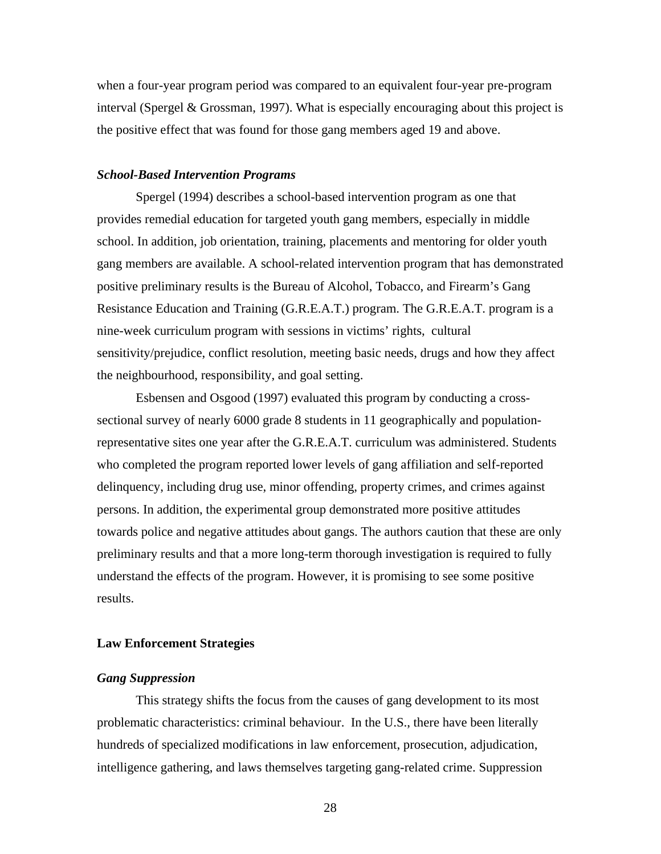when a four-year program period was compared to an equivalent four-year pre-program interval (Spergel & Grossman, 1997). What is especially encouraging about this project is the positive effect that was found for those gang members aged 19 and above.

### *School-Based Intervention Programs*

Spergel (1994) describes a school-based intervention program as one that provides remedial education for targeted youth gang members, especially in middle school. In addition, job orientation, training, placements and mentoring for older youth gang members are available. A school-related intervention program that has demonstrated positive preliminary results is the Bureau of Alcohol, Tobacco, and Firearm's Gang Resistance Education and Training (G.R.E.A.T.) program. The G.R.E.A.T. program is a nine-week curriculum program with sessions in victims' rights, cultural sensitivity/prejudice, conflict resolution, meeting basic needs, drugs and how they affect the neighbourhood, responsibility, and goal setting.

Esbensen and Osgood (1997) evaluated this program by conducting a crosssectional survey of nearly 6000 grade 8 students in 11 geographically and populationrepresentative sites one year after the G.R.E.A.T. curriculum was administered. Students who completed the program reported lower levels of gang affiliation and self-reported delinquency, including drug use, minor offending, property crimes, and crimes against persons. In addition, the experimental group demonstrated more positive attitudes towards police and negative attitudes about gangs. The authors caution that these are only preliminary results and that a more long-term thorough investigation is required to fully understand the effects of the program. However, it is promising to see some positive results.

#### **Law Enforcement Strategies**

### *Gang Suppression*

This strategy shifts the focus from the causes of gang development to its most problematic characteristics: criminal behaviour. In the U.S., there have been literally hundreds of specialized modifications in law enforcement, prosecution, adjudication, intelligence gathering, and laws themselves targeting gang-related crime. Suppression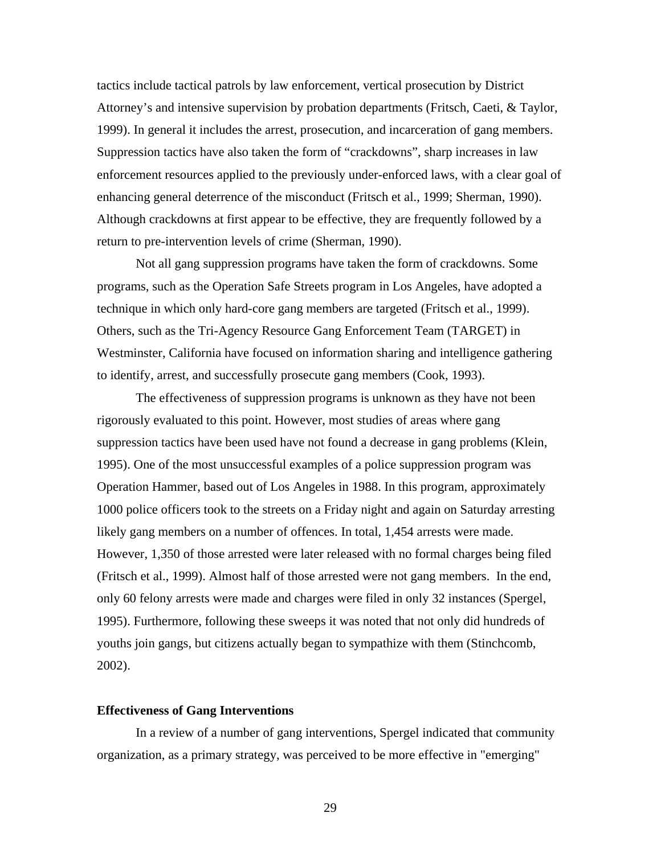tactics include tactical patrols by law enforcement, vertical prosecution by District Attorney's and intensive supervision by probation departments (Fritsch, Caeti, & Taylor, 1999). In general it includes the arrest, prosecution, and incarceration of gang members. Suppression tactics have also taken the form of "crackdowns", sharp increases in law enforcement resources applied to the previously under-enforced laws, with a clear goal of enhancing general deterrence of the misconduct (Fritsch et al., 1999; Sherman, 1990). Although crackdowns at first appear to be effective, they are frequently followed by a return to pre-intervention levels of crime (Sherman, 1990).

Not all gang suppression programs have taken the form of crackdowns. Some programs, such as the Operation Safe Streets program in Los Angeles, have adopted a technique in which only hard-core gang members are targeted (Fritsch et al., 1999). Others, such as the Tri-Agency Resource Gang Enforcement Team (TARGET) in Westminster, California have focused on information sharing and intelligence gathering to identify, arrest, and successfully prosecute gang members (Cook, 1993).

The effectiveness of suppression programs is unknown as they have not been rigorously evaluated to this point. However, most studies of areas where gang suppression tactics have been used have not found a decrease in gang problems (Klein, 1995). One of the most unsuccessful examples of a police suppression program was Operation Hammer, based out of Los Angeles in 1988. In this program, approximately 1000 police officers took to the streets on a Friday night and again on Saturday arresting likely gang members on a number of offences. In total, 1,454 arrests were made. However, 1,350 of those arrested were later released with no formal charges being filed (Fritsch et al., 1999). Almost half of those arrested were not gang members. In the end, only 60 felony arrests were made and charges were filed in only 32 instances (Spergel, 1995). Furthermore, following these sweeps it was noted that not only did hundreds of youths join gangs, but citizens actually began to sympathize with them (Stinchcomb, 2002).

### **Effectiveness of Gang Interventions**

In a review of a number of gang interventions, Spergel indicated that community organization, as a primary strategy, was perceived to be more effective in "emerging"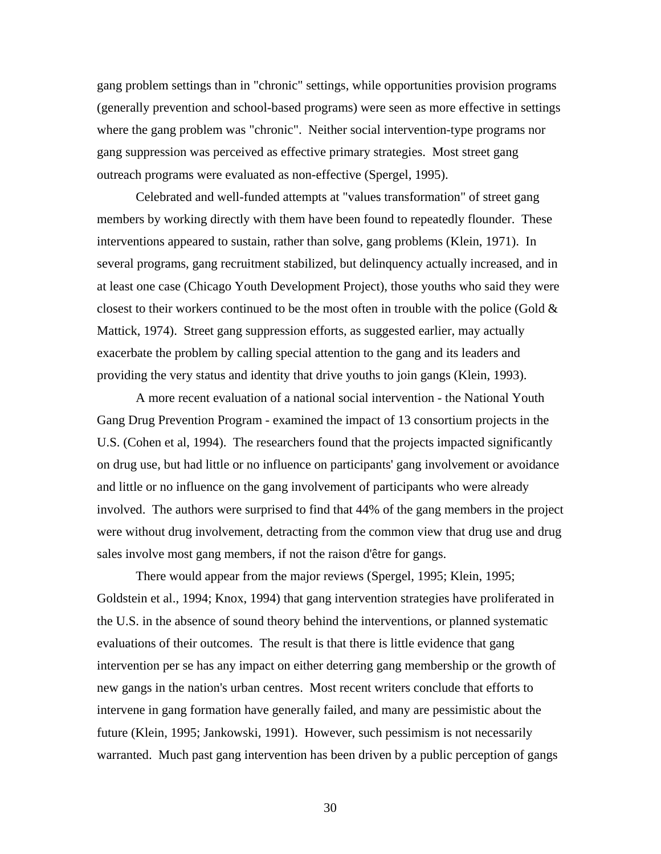gang problem settings than in "chronic" settings, while opportunities provision programs (generally prevention and school-based programs) were seen as more effective in settings where the gang problem was "chronic". Neither social intervention-type programs nor gang suppression was perceived as effective primary strategies. Most street gang outreach programs were evaluated as non-effective (Spergel, 1995).

Celebrated and well-funded attempts at "values transformation" of street gang members by working directly with them have been found to repeatedly flounder. These interventions appeared to sustain, rather than solve, gang problems (Klein, 1971). In several programs, gang recruitment stabilized, but delinquency actually increased, and in at least one case (Chicago Youth Development Project), those youths who said they were closest to their workers continued to be the most often in trouble with the police (Gold  $\&$ Mattick, 1974). Street gang suppression efforts, as suggested earlier, may actually exacerbate the problem by calling special attention to the gang and its leaders and providing the very status and identity that drive youths to join gangs (Klein, 1993).

A more recent evaluation of a national social intervention - the National Youth Gang Drug Prevention Program - examined the impact of 13 consortium projects in the U.S. (Cohen et al, 1994). The researchers found that the projects impacted significantly on drug use, but had little or no influence on participants' gang involvement or avoidance and little or no influence on the gang involvement of participants who were already involved. The authors were surprised to find that 44% of the gang members in the project were without drug involvement, detracting from the common view that drug use and drug sales involve most gang members, if not the raison d'être for gangs.

There would appear from the major reviews (Spergel, 1995; Klein, 1995; Goldstein et al., 1994; Knox, 1994) that gang intervention strategies have proliferated in the U.S. in the absence of sound theory behind the interventions, or planned systematic evaluations of their outcomes. The result is that there is little evidence that gang intervention per se has any impact on either deterring gang membership or the growth of new gangs in the nation's urban centres. Most recent writers conclude that efforts to intervene in gang formation have generally failed, and many are pessimistic about the future (Klein, 1995; Jankowski, 1991). However, such pessimism is not necessarily warranted. Much past gang intervention has been driven by a public perception of gangs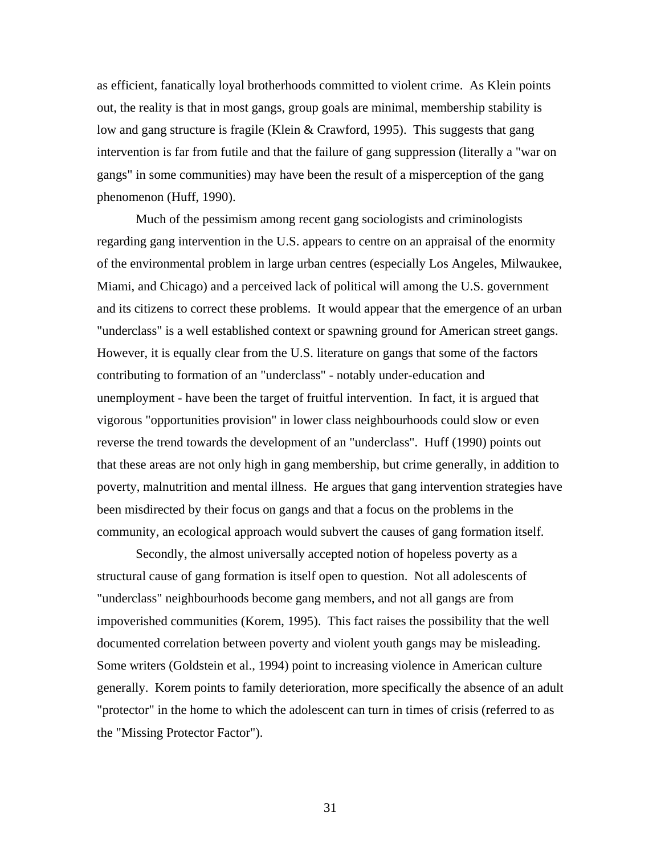as efficient, fanatically loyal brotherhoods committed to violent crime. As Klein points out, the reality is that in most gangs, group goals are minimal, membership stability is low and gang structure is fragile (Klein & Crawford, 1995). This suggests that gang intervention is far from futile and that the failure of gang suppression (literally a "war on gangs" in some communities) may have been the result of a misperception of the gang phenomenon (Huff, 1990).

Much of the pessimism among recent gang sociologists and criminologists regarding gang intervention in the U.S. appears to centre on an appraisal of the enormity of the environmental problem in large urban centres (especially Los Angeles, Milwaukee, Miami, and Chicago) and a perceived lack of political will among the U.S. government and its citizens to correct these problems. It would appear that the emergence of an urban "underclass" is a well established context or spawning ground for American street gangs. However, it is equally clear from the U.S. literature on gangs that some of the factors contributing to formation of an "underclass" - notably under-education and unemployment - have been the target of fruitful intervention. In fact, it is argued that vigorous "opportunities provision" in lower class neighbourhoods could slow or even reverse the trend towards the development of an "underclass". Huff (1990) points out that these areas are not only high in gang membership, but crime generally, in addition to poverty, malnutrition and mental illness. He argues that gang intervention strategies have been misdirected by their focus on gangs and that a focus on the problems in the community, an ecological approach would subvert the causes of gang formation itself.

Secondly, the almost universally accepted notion of hopeless poverty as a structural cause of gang formation is itself open to question. Not all adolescents of "underclass" neighbourhoods become gang members, and not all gangs are from impoverished communities (Korem, 1995). This fact raises the possibility that the well documented correlation between poverty and violent youth gangs may be misleading. Some writers (Goldstein et al., 1994) point to increasing violence in American culture generally. Korem points to family deterioration, more specifically the absence of an adult "protector" in the home to which the adolescent can turn in times of crisis (referred to as the "Missing Protector Factor").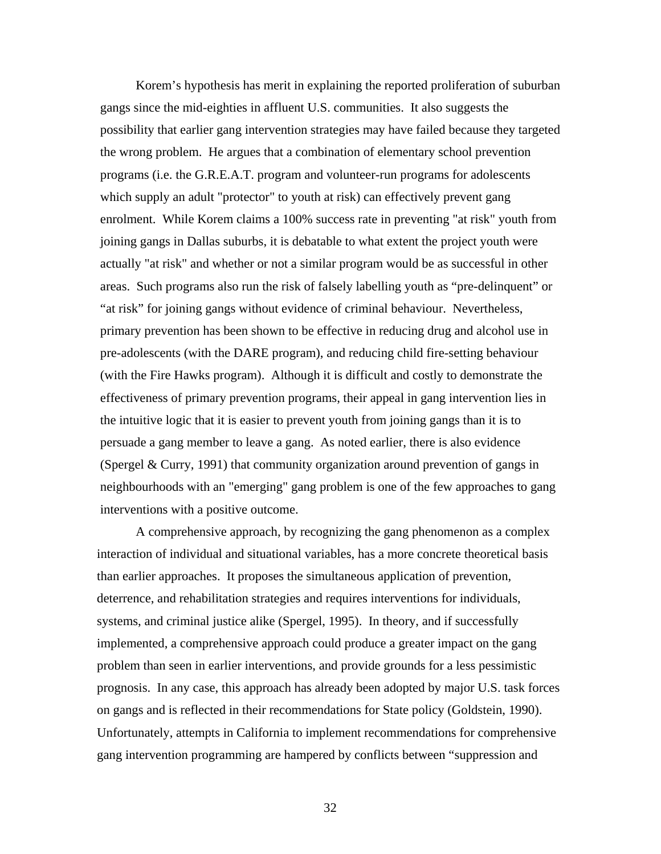Korem's hypothesis has merit in explaining the reported proliferation of suburban gangs since the mid-eighties in affluent U.S. communities. It also suggests the possibility that earlier gang intervention strategies may have failed because they targeted the wrong problem. He argues that a combination of elementary school prevention programs (i.e. the G.R.E.A.T. program and volunteer-run programs for adolescents which supply an adult "protector" to youth at risk) can effectively prevent gang enrolment. While Korem claims a 100% success rate in preventing "at risk" youth from joining gangs in Dallas suburbs, it is debatable to what extent the project youth were actually "at risk" and whether or not a similar program would be as successful in other areas. Such programs also run the risk of falsely labelling youth as "pre-delinquent" or "at risk" for joining gangs without evidence of criminal behaviour. Nevertheless, primary prevention has been shown to be effective in reducing drug and alcohol use in pre-adolescents (with the DARE program), and reducing child fire-setting behaviour (with the Fire Hawks program). Although it is difficult and costly to demonstrate the effectiveness of primary prevention programs, their appeal in gang intervention lies in the intuitive logic that it is easier to prevent youth from joining gangs than it is to persuade a gang member to leave a gang. As noted earlier, there is also evidence (Spergel & Curry, 1991) that community organization around prevention of gangs in neighbourhoods with an "emerging" gang problem is one of the few approaches to gang interventions with a positive outcome.

A comprehensive approach, by recognizing the gang phenomenon as a complex interaction of individual and situational variables, has a more concrete theoretical basis than earlier approaches. It proposes the simultaneous application of prevention, deterrence, and rehabilitation strategies and requires interventions for individuals, systems, and criminal justice alike (Spergel, 1995). In theory, and if successfully implemented, a comprehensive approach could produce a greater impact on the gang problem than seen in earlier interventions, and provide grounds for a less pessimistic prognosis. In any case, this approach has already been adopted by major U.S. task forces on gangs and is reflected in their recommendations for State policy (Goldstein, 1990). Unfortunately, attempts in California to implement recommendations for comprehensive gang intervention programming are hampered by conflicts between "suppression and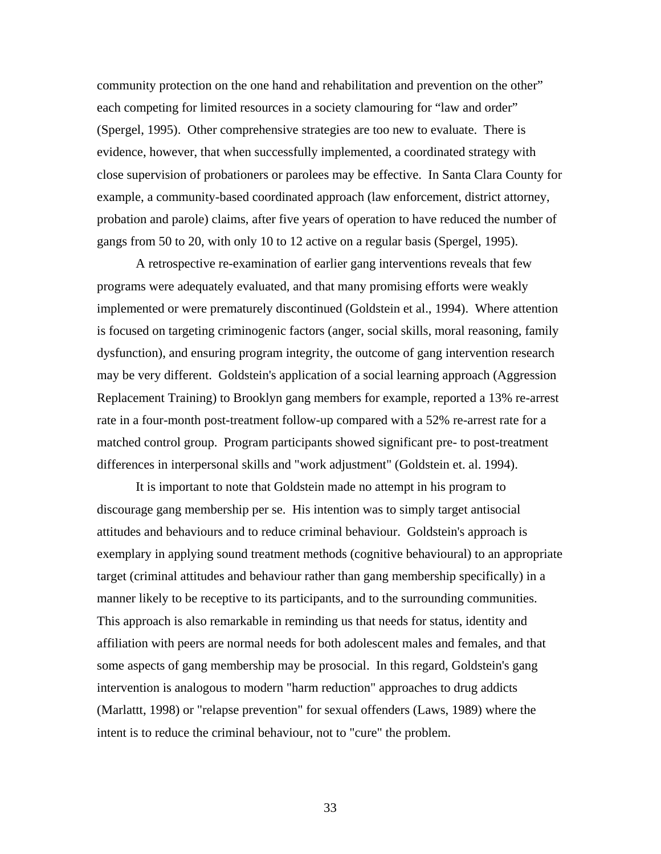community protection on the one hand and rehabilitation and prevention on the other" each competing for limited resources in a society clamouring for "law and order" (Spergel, 1995). Other comprehensive strategies are too new to evaluate. There is evidence, however, that when successfully implemented, a coordinated strategy with close supervision of probationers or parolees may be effective. In Santa Clara County for example, a community-based coordinated approach (law enforcement, district attorney, probation and parole) claims, after five years of operation to have reduced the number of gangs from 50 to 20, with only 10 to 12 active on a regular basis (Spergel, 1995).

A retrospective re-examination of earlier gang interventions reveals that few programs were adequately evaluated, and that many promising efforts were weakly implemented or were prematurely discontinued (Goldstein et al., 1994). Where attention is focused on targeting criminogenic factors (anger, social skills, moral reasoning, family dysfunction), and ensuring program integrity, the outcome of gang intervention research may be very different. Goldstein's application of a social learning approach (Aggression Replacement Training) to Brooklyn gang members for example, reported a 13% re-arrest rate in a four-month post-treatment follow-up compared with a 52% re-arrest rate for a matched control group. Program participants showed significant pre- to post-treatment differences in interpersonal skills and "work adjustment" (Goldstein et. al. 1994).

It is important to note that Goldstein made no attempt in his program to discourage gang membership per se. His intention was to simply target antisocial attitudes and behaviours and to reduce criminal behaviour. Goldstein's approach is exemplary in applying sound treatment methods (cognitive behavioural) to an appropriate target (criminal attitudes and behaviour rather than gang membership specifically) in a manner likely to be receptive to its participants, and to the surrounding communities. This approach is also remarkable in reminding us that needs for status, identity and affiliation with peers are normal needs for both adolescent males and females, and that some aspects of gang membership may be prosocial. In this regard, Goldstein's gang intervention is analogous to modern "harm reduction" approaches to drug addicts (Marlattt, 1998) or "relapse prevention" for sexual offenders (Laws, 1989) where the intent is to reduce the criminal behaviour, not to "cure" the problem.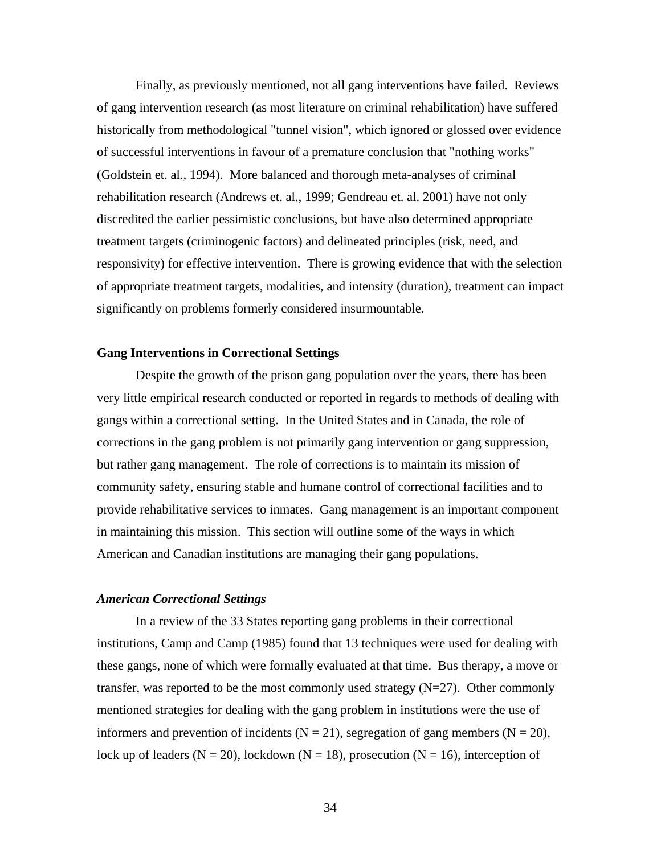Finally, as previously mentioned, not all gang interventions have failed. Reviews of gang intervention research (as most literature on criminal rehabilitation) have suffered historically from methodological "tunnel vision", which ignored or glossed over evidence of successful interventions in favour of a premature conclusion that "nothing works" (Goldstein et. al., 1994). More balanced and thorough meta-analyses of criminal rehabilitation research (Andrews et. al., 1999; Gendreau et. al. 2001) have not only discredited the earlier pessimistic conclusions, but have also determined appropriate treatment targets (criminogenic factors) and delineated principles (risk, need, and responsivity) for effective intervention. There is growing evidence that with the selection of appropriate treatment targets, modalities, and intensity (duration), treatment can impact significantly on problems formerly considered insurmountable.

### **Gang Interventions in Correctional Settings**

Despite the growth of the prison gang population over the years, there has been very little empirical research conducted or reported in regards to methods of dealing with gangs within a correctional setting. In the United States and in Canada, the role of corrections in the gang problem is not primarily gang intervention or gang suppression, but rather gang management. The role of corrections is to maintain its mission of community safety, ensuring stable and humane control of correctional facilities and to provide rehabilitative services to inmates. Gang management is an important component in maintaining this mission. This section will outline some of the ways in which American and Canadian institutions are managing their gang populations.

### *American Correctional Settings*

In a review of the 33 States reporting gang problems in their correctional institutions, Camp and Camp (1985) found that 13 techniques were used for dealing with these gangs, none of which were formally evaluated at that time. Bus therapy, a move or transfer, was reported to be the most commonly used strategy  $(N=27)$ . Other commonly mentioned strategies for dealing with the gang problem in institutions were the use of informers and prevention of incidents ( $N = 21$ ), segregation of gang members ( $N = 20$ ), lock up of leaders ( $N = 20$ ), lockdown ( $N = 18$ ), prosecution ( $N = 16$ ), interception of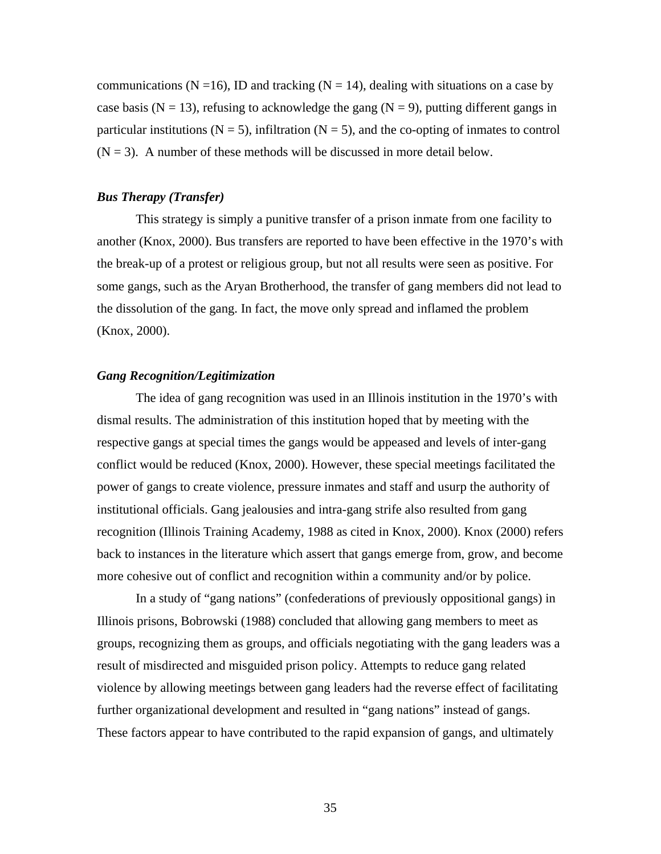communications ( $N = 16$ ), ID and tracking ( $N = 14$ ), dealing with situations on a case by case basis ( $N = 13$ ), refusing to acknowledge the gang ( $N = 9$ ), putting different gangs in particular institutions ( $N = 5$ ), infiltration ( $N = 5$ ), and the co-opting of inmates to control  $(N = 3)$ . A number of these methods will be discussed in more detail below.

### *Bus Therapy (Transfer)*

This strategy is simply a punitive transfer of a prison inmate from one facility to another (Knox, 2000). Bus transfers are reported to have been effective in the 1970's with the break-up of a protest or religious group, but not all results were seen as positive. For some gangs, such as the Aryan Brotherhood, the transfer of gang members did not lead to the dissolution of the gang. In fact, the move only spread and inflamed the problem (Knox, 2000).

### *Gang Recognition/Legitimization*

The idea of gang recognition was used in an Illinois institution in the 1970's with dismal results. The administration of this institution hoped that by meeting with the respective gangs at special times the gangs would be appeased and levels of inter-gang conflict would be reduced (Knox, 2000). However, these special meetings facilitated the power of gangs to create violence, pressure inmates and staff and usurp the authority of institutional officials. Gang jealousies and intra-gang strife also resulted from gang recognition (Illinois Training Academy, 1988 as cited in Knox, 2000). Knox (2000) refers back to instances in the literature which assert that gangs emerge from, grow, and become more cohesive out of conflict and recognition within a community and/or by police.

In a study of "gang nations" (confederations of previously oppositional gangs) in Illinois prisons, Bobrowski (1988) concluded that allowing gang members to meet as groups, recognizing them as groups, and officials negotiating with the gang leaders was a result of misdirected and misguided prison policy. Attempts to reduce gang related violence by allowing meetings between gang leaders had the reverse effect of facilitating further organizational development and resulted in "gang nations" instead of gangs. These factors appear to have contributed to the rapid expansion of gangs, and ultimately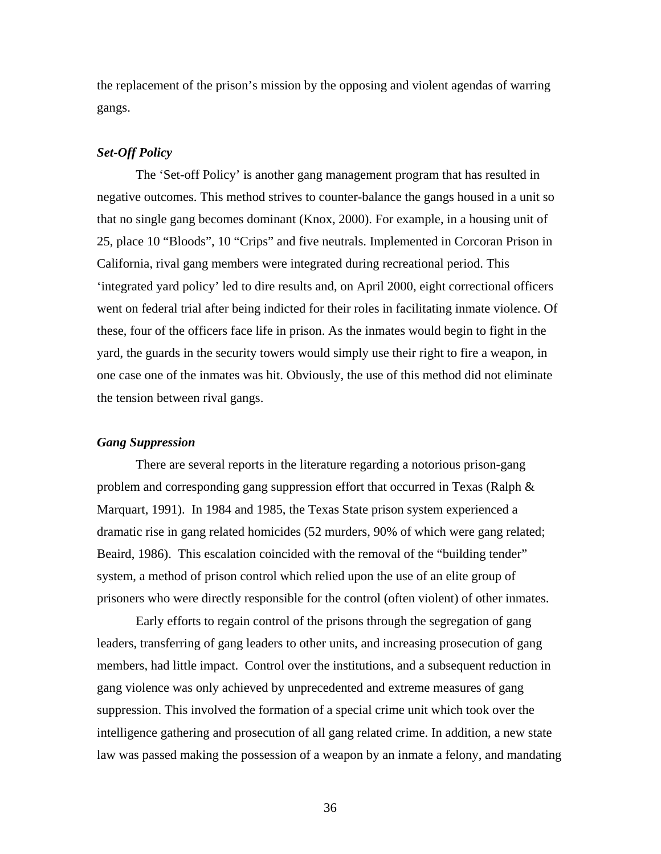the replacement of the prison's mission by the opposing and violent agendas of warring gangs.

### *Set-Off Policy*

The 'Set-off Policy' is another gang management program that has resulted in negative outcomes. This method strives to counter-balance the gangs housed in a unit so that no single gang becomes dominant (Knox, 2000). For example, in a housing unit of 25, place 10 "Bloods", 10 "Crips" and five neutrals. Implemented in Corcoran Prison in California, rival gang members were integrated during recreational period. This 'integrated yard policy' led to dire results and, on April 2000, eight correctional officers went on federal trial after being indicted for their roles in facilitating inmate violence. Of these, four of the officers face life in prison. As the inmates would begin to fight in the yard, the guards in the security towers would simply use their right to fire a weapon, in one case one of the inmates was hit. Obviously, the use of this method did not eliminate the tension between rival gangs.

### *Gang Suppression*

There are several reports in the literature regarding a notorious prison-gang problem and corresponding gang suppression effort that occurred in Texas (Ralph & Marquart, 1991). In 1984 and 1985, the Texas State prison system experienced a dramatic rise in gang related homicides (52 murders, 90% of which were gang related; Beaird, 1986). This escalation coincided with the removal of the "building tender" system, a method of prison control which relied upon the use of an elite group of prisoners who were directly responsible for the control (often violent) of other inmates.

 Early efforts to regain control of the prisons through the segregation of gang leaders, transferring of gang leaders to other units, and increasing prosecution of gang members, had little impact. Control over the institutions, and a subsequent reduction in gang violence was only achieved by unprecedented and extreme measures of gang suppression. This involved the formation of a special crime unit which took over the intelligence gathering and prosecution of all gang related crime. In addition, a new state law was passed making the possession of a weapon by an inmate a felony, and mandating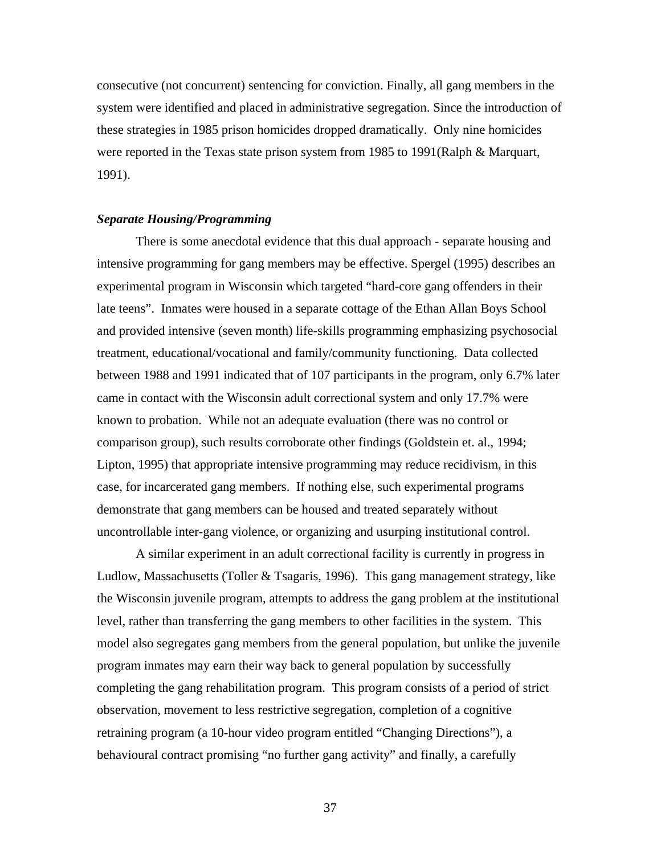consecutive (not concurrent) sentencing for conviction. Finally, all gang members in the system were identified and placed in administrative segregation. Since the introduction of these strategies in 1985 prison homicides dropped dramatically. Only nine homicides were reported in the Texas state prison system from 1985 to 1991(Ralph & Marquart, 1991).

### *Separate Housing/Programming*

There is some anecdotal evidence that this dual approach - separate housing and intensive programming for gang members may be effective. Spergel (1995) describes an experimental program in Wisconsin which targeted "hard-core gang offenders in their late teens". Inmates were housed in a separate cottage of the Ethan Allan Boys School and provided intensive (seven month) life-skills programming emphasizing psychosocial treatment, educational/vocational and family/community functioning. Data collected between 1988 and 1991 indicated that of 107 participants in the program, only 6.7% later came in contact with the Wisconsin adult correctional system and only 17.7% were known to probation. While not an adequate evaluation (there was no control or comparison group), such results corroborate other findings (Goldstein et. al., 1994; Lipton, 1995) that appropriate intensive programming may reduce recidivism, in this case, for incarcerated gang members. If nothing else, such experimental programs demonstrate that gang members can be housed and treated separately without uncontrollable inter-gang violence, or organizing and usurping institutional control.

A similar experiment in an adult correctional facility is currently in progress in Ludlow, Massachusetts (Toller & Tsagaris, 1996). This gang management strategy, like the Wisconsin juvenile program, attempts to address the gang problem at the institutional level, rather than transferring the gang members to other facilities in the system. This model also segregates gang members from the general population, but unlike the juvenile program inmates may earn their way back to general population by successfully completing the gang rehabilitation program. This program consists of a period of strict observation, movement to less restrictive segregation, completion of a cognitive retraining program (a 10-hour video program entitled "Changing Directions"), a behavioural contract promising "no further gang activity" and finally, a carefully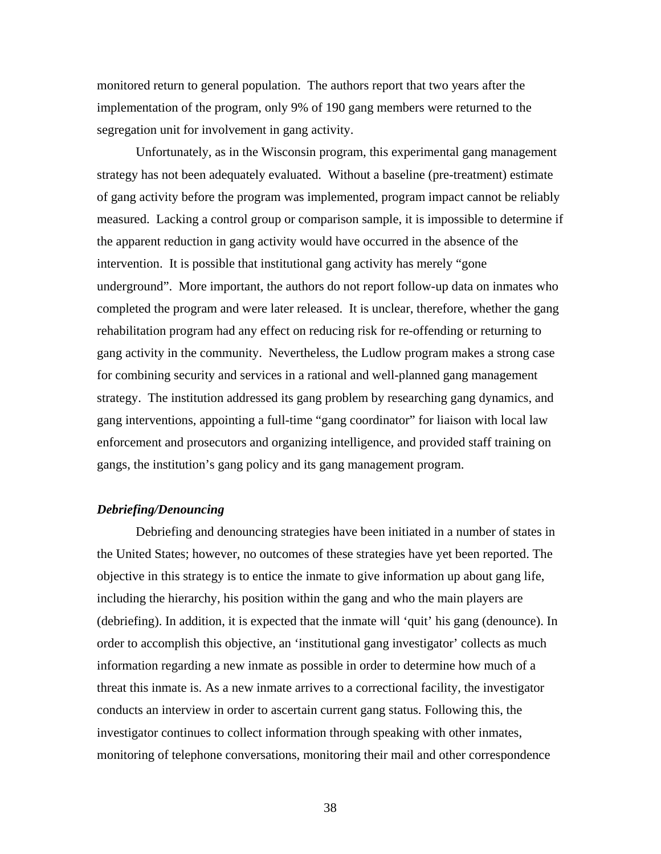monitored return to general population. The authors report that two years after the implementation of the program, only 9% of 190 gang members were returned to the segregation unit for involvement in gang activity.

Unfortunately, as in the Wisconsin program, this experimental gang management strategy has not been adequately evaluated. Without a baseline (pre-treatment) estimate of gang activity before the program was implemented, program impact cannot be reliably measured. Lacking a control group or comparison sample, it is impossible to determine if the apparent reduction in gang activity would have occurred in the absence of the intervention. It is possible that institutional gang activity has merely "gone underground". More important, the authors do not report follow-up data on inmates who completed the program and were later released. It is unclear, therefore, whether the gang rehabilitation program had any effect on reducing risk for re-offending or returning to gang activity in the community. Nevertheless, the Ludlow program makes a strong case for combining security and services in a rational and well-planned gang management strategy. The institution addressed its gang problem by researching gang dynamics, and gang interventions, appointing a full-time "gang coordinator" for liaison with local law enforcement and prosecutors and organizing intelligence, and provided staff training on gangs, the institution's gang policy and its gang management program.

### *Debriefing/Denouncing*

Debriefing and denouncing strategies have been initiated in a number of states in the United States; however, no outcomes of these strategies have yet been reported. The objective in this strategy is to entice the inmate to give information up about gang life, including the hierarchy, his position within the gang and who the main players are (debriefing). In addition, it is expected that the inmate will 'quit' his gang (denounce). In order to accomplish this objective, an 'institutional gang investigator' collects as much information regarding a new inmate as possible in order to determine how much of a threat this inmate is. As a new inmate arrives to a correctional facility, the investigator conducts an interview in order to ascertain current gang status. Following this, the investigator continues to collect information through speaking with other inmates, monitoring of telephone conversations, monitoring their mail and other correspondence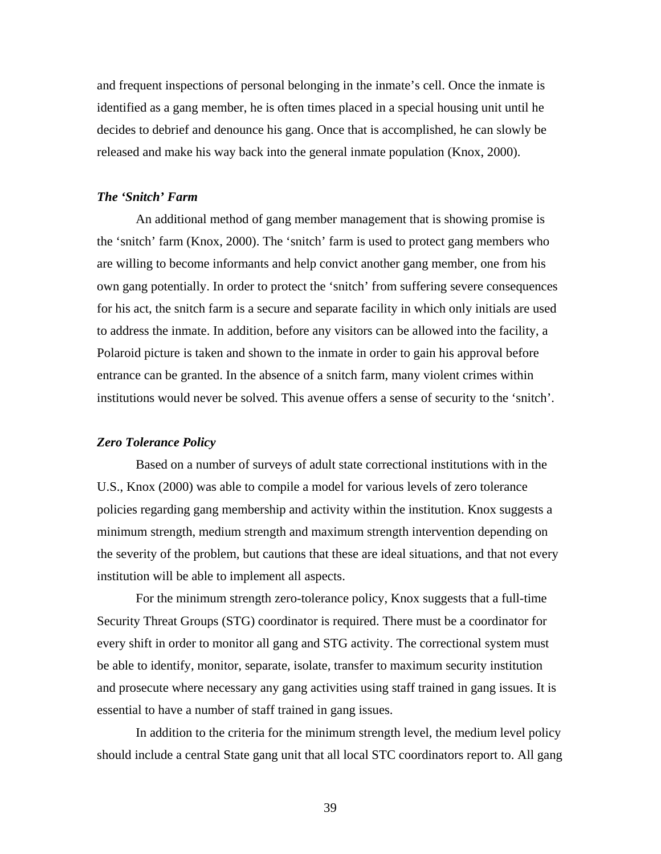and frequent inspections of personal belonging in the inmate's cell. Once the inmate is identified as a gang member, he is often times placed in a special housing unit until he decides to debrief and denounce his gang. Once that is accomplished, he can slowly be released and make his way back into the general inmate population (Knox, 2000).

### *The 'Snitch' Farm*

An additional method of gang member management that is showing promise is the 'snitch' farm (Knox, 2000). The 'snitch' farm is used to protect gang members who are willing to become informants and help convict another gang member, one from his own gang potentially. In order to protect the 'snitch' from suffering severe consequences for his act, the snitch farm is a secure and separate facility in which only initials are used to address the inmate. In addition, before any visitors can be allowed into the facility, a Polaroid picture is taken and shown to the inmate in order to gain his approval before entrance can be granted. In the absence of a snitch farm, many violent crimes within institutions would never be solved. This avenue offers a sense of security to the 'snitch'.

### *Zero Tolerance Policy*

Based on a number of surveys of adult state correctional institutions with in the U.S., Knox (2000) was able to compile a model for various levels of zero tolerance policies regarding gang membership and activity within the institution. Knox suggests a minimum strength, medium strength and maximum strength intervention depending on the severity of the problem, but cautions that these are ideal situations, and that not every institution will be able to implement all aspects.

For the minimum strength zero-tolerance policy, Knox suggests that a full-time Security Threat Groups (STG) coordinator is required. There must be a coordinator for every shift in order to monitor all gang and STG activity. The correctional system must be able to identify, monitor, separate, isolate, transfer to maximum security institution and prosecute where necessary any gang activities using staff trained in gang issues. It is essential to have a number of staff trained in gang issues.

In addition to the criteria for the minimum strength level, the medium level policy should include a central State gang unit that all local STC coordinators report to. All gang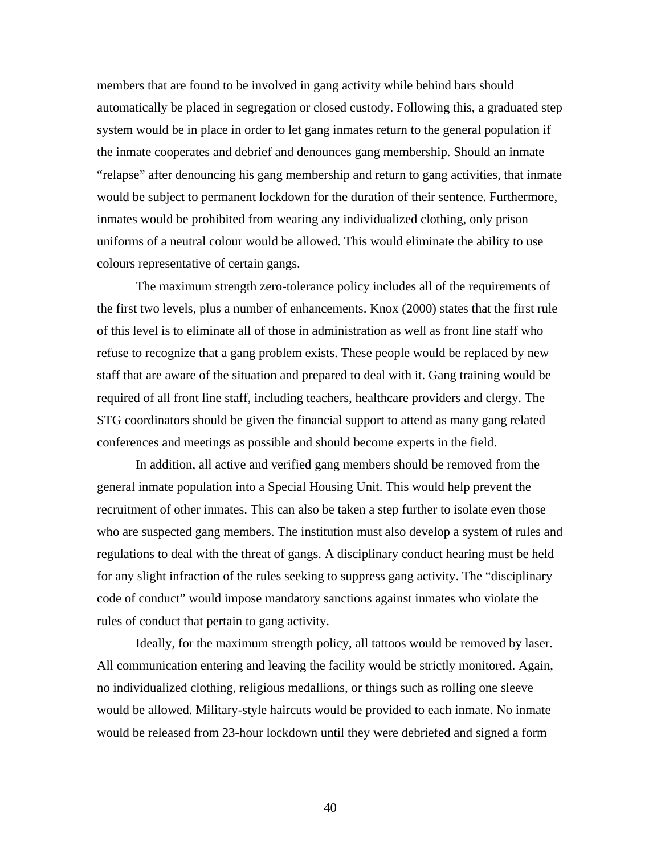members that are found to be involved in gang activity while behind bars should automatically be placed in segregation or closed custody. Following this, a graduated step system would be in place in order to let gang inmates return to the general population if the inmate cooperates and debrief and denounces gang membership. Should an inmate "relapse" after denouncing his gang membership and return to gang activities, that inmate would be subject to permanent lockdown for the duration of their sentence. Furthermore, inmates would be prohibited from wearing any individualized clothing, only prison uniforms of a neutral colour would be allowed. This would eliminate the ability to use colours representative of certain gangs.

The maximum strength zero-tolerance policy includes all of the requirements of the first two levels, plus a number of enhancements. Knox (2000) states that the first rule of this level is to eliminate all of those in administration as well as front line staff who refuse to recognize that a gang problem exists. These people would be replaced by new staff that are aware of the situation and prepared to deal with it. Gang training would be required of all front line staff, including teachers, healthcare providers and clergy. The STG coordinators should be given the financial support to attend as many gang related conferences and meetings as possible and should become experts in the field.

In addition, all active and verified gang members should be removed from the general inmate population into a Special Housing Unit. This would help prevent the recruitment of other inmates. This can also be taken a step further to isolate even those who are suspected gang members. The institution must also develop a system of rules and regulations to deal with the threat of gangs. A disciplinary conduct hearing must be held for any slight infraction of the rules seeking to suppress gang activity. The "disciplinary code of conduct" would impose mandatory sanctions against inmates who violate the rules of conduct that pertain to gang activity.

Ideally, for the maximum strength policy, all tattoos would be removed by laser. All communication entering and leaving the facility would be strictly monitored. Again, no individualized clothing, religious medallions, or things such as rolling one sleeve would be allowed. Military-style haircuts would be provided to each inmate. No inmate would be released from 23-hour lockdown until they were debriefed and signed a form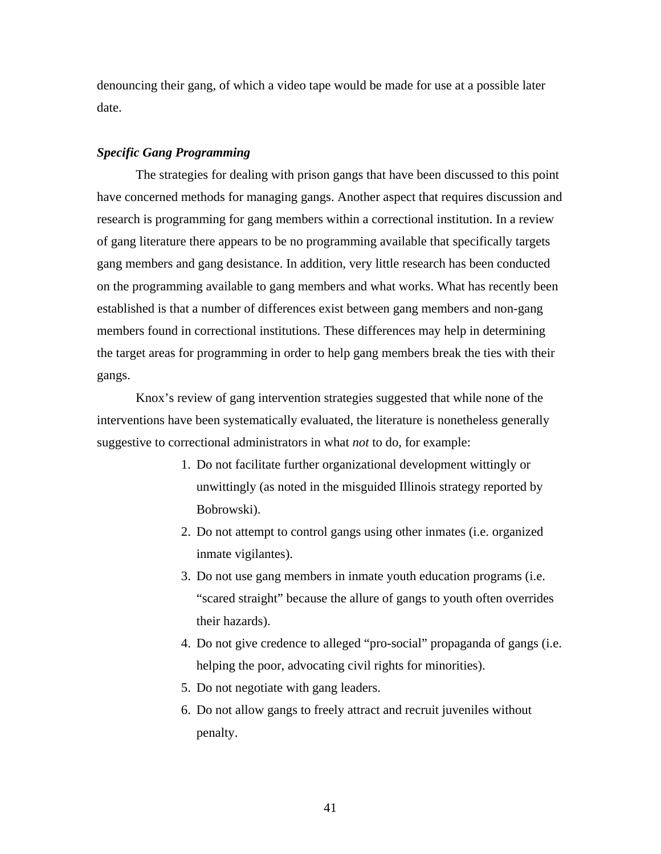denouncing their gang, of which a video tape would be made for use at a possible later date.

#### *Specific Gang Programming*

The strategies for dealing with prison gangs that have been discussed to this point have concerned methods for managing gangs. Another aspect that requires discussion and research is programming for gang members within a correctional institution. In a review of gang literature there appears to be no programming available that specifically targets gang members and gang desistance. In addition, very little research has been conducted on the programming available to gang members and what works. What has recently been established is that a number of differences exist between gang members and non-gang members found in correctional institutions. These differences may help in determining the target areas for programming in order to help gang members break the ties with their gangs.

Knox's review of gang intervention strategies suggested that while none of the interventions have been systematically evaluated, the literature is nonetheless generally suggestive to correctional administrators in what *not* to do, for example:

- 1. Do not facilitate further organizational development wittingly or unwittingly (as noted in the misguided Illinois strategy reported by Bobrowski).
- 2. Do not attempt to control gangs using other inmates (i.e. organized inmate vigilantes).
- 3. Do not use gang members in inmate youth education programs (i.e. "scared straight" because the allure of gangs to youth often overrides their hazards).
- 4. Do not give credence to alleged "pro-social" propaganda of gangs (i.e. helping the poor, advocating civil rights for minorities).
- 5. Do not negotiate with gang leaders.
- 6. Do not allow gangs to freely attract and recruit juveniles without penalty.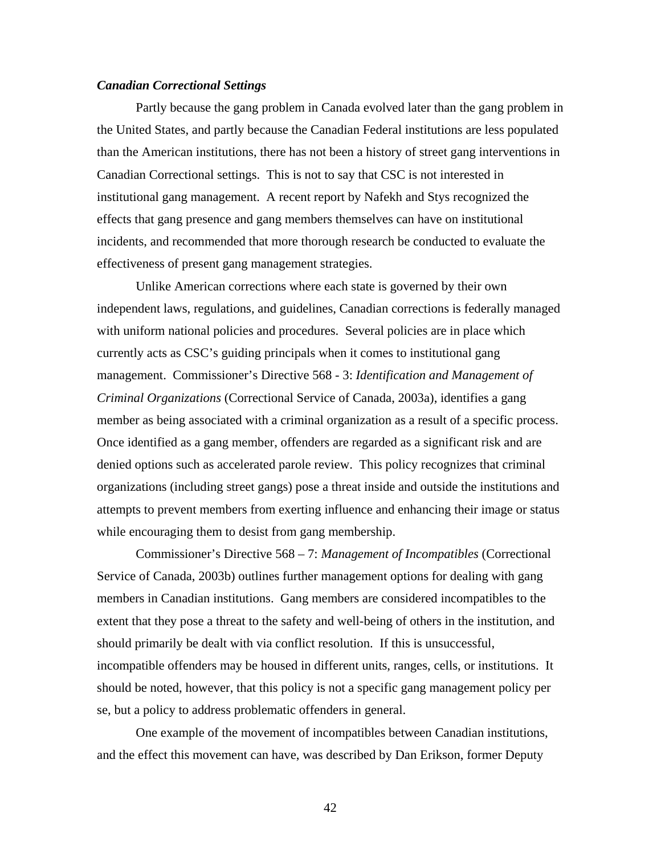### *Canadian Correctional Settings*

 Partly because the gang problem in Canada evolved later than the gang problem in the United States, and partly because the Canadian Federal institutions are less populated than the American institutions, there has not been a history of street gang interventions in Canadian Correctional settings. This is not to say that CSC is not interested in institutional gang management. A recent report by Nafekh and Stys recognized the effects that gang presence and gang members themselves can have on institutional incidents, and recommended that more thorough research be conducted to evaluate the effectiveness of present gang management strategies.

Unlike American corrections where each state is governed by their own independent laws, regulations, and guidelines, Canadian corrections is federally managed with uniform national policies and procedures. Several policies are in place which currently acts as CSC's guiding principals when it comes to institutional gang management. Commissioner's Directive 568 - 3: *Identification and Management of Criminal Organizations* (Correctional Service of Canada, 2003a), identifies a gang member as being associated with a criminal organization as a result of a specific process. Once identified as a gang member, offenders are regarded as a significant risk and are denied options such as accelerated parole review. This policy recognizes that criminal organizations (including street gangs) pose a threat inside and outside the institutions and attempts to prevent members from exerting influence and enhancing their image or status while encouraging them to desist from gang membership.

Commissioner's Directive 568 – 7: *Management of Incompatibles* (Correctional Service of Canada, 2003b) outlines further management options for dealing with gang members in Canadian institutions. Gang members are considered incompatibles to the extent that they pose a threat to the safety and well-being of others in the institution, and should primarily be dealt with via conflict resolution. If this is unsuccessful, incompatible offenders may be housed in different units, ranges, cells, or institutions. It should be noted, however, that this policy is not a specific gang management policy per se, but a policy to address problematic offenders in general.

One example of the movement of incompatibles between Canadian institutions, and the effect this movement can have, was described by Dan Erikson, former Deputy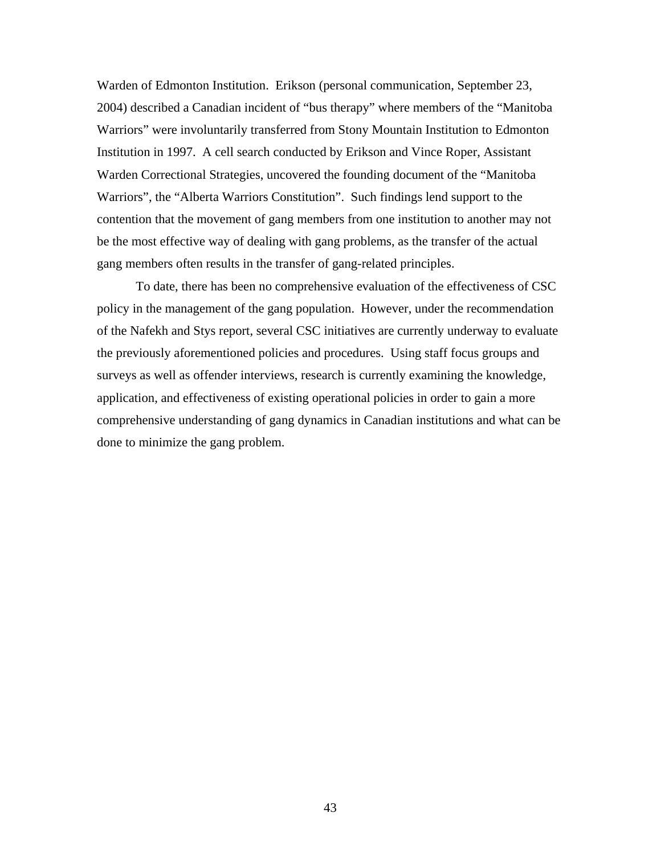Warden of Edmonton Institution. Erikson (personal communication, September 23, 2004) described a Canadian incident of "bus therapy" where members of the "Manitoba Warriors" were involuntarily transferred from Stony Mountain Institution to Edmonton Institution in 1997. A cell search conducted by Erikson and Vince Roper, Assistant Warden Correctional Strategies, uncovered the founding document of the "Manitoba Warriors", the "Alberta Warriors Constitution". Such findings lend support to the contention that the movement of gang members from one institution to another may not be the most effective way of dealing with gang problems, as the transfer of the actual gang members often results in the transfer of gang-related principles.

To date, there has been no comprehensive evaluation of the effectiveness of CSC policy in the management of the gang population. However, under the recommendation of the Nafekh and Stys report, several CSC initiatives are currently underway to evaluate the previously aforementioned policies and procedures. Using staff focus groups and surveys as well as offender interviews, research is currently examining the knowledge, application, and effectiveness of existing operational policies in order to gain a more comprehensive understanding of gang dynamics in Canadian institutions and what can be done to minimize the gang problem.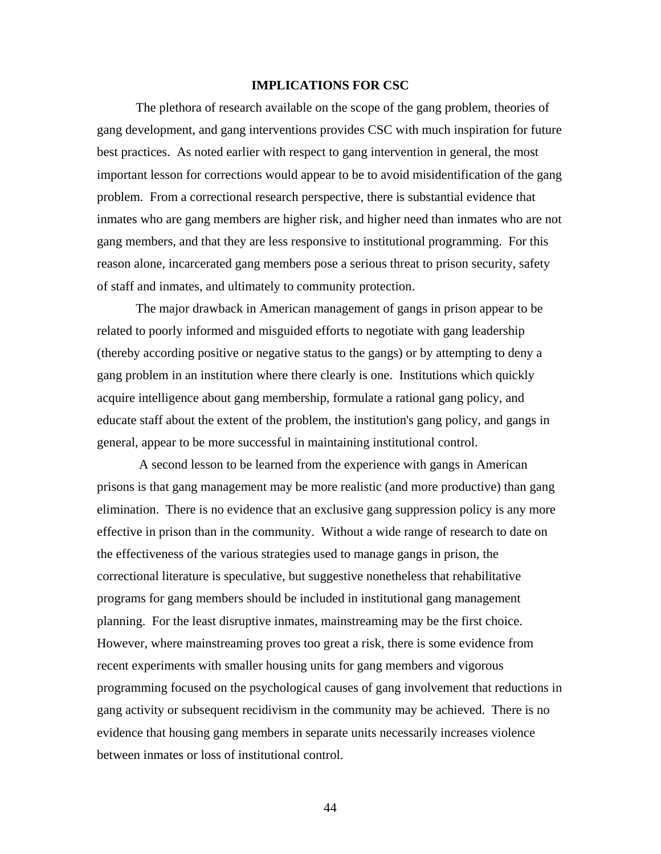### **IMPLICATIONS FOR CSC**

The plethora of research available on the scope of the gang problem, theories of gang development, and gang interventions provides CSC with much inspiration for future best practices. As noted earlier with respect to gang intervention in general, the most important lesson for corrections would appear to be to avoid misidentification of the gang problem. From a correctional research perspective, there is substantial evidence that inmates who are gang members are higher risk, and higher need than inmates who are not gang members, and that they are less responsive to institutional programming. For this reason alone, incarcerated gang members pose a serious threat to prison security, safety of staff and inmates, and ultimately to community protection.

The major drawback in American management of gangs in prison appear to be related to poorly informed and misguided efforts to negotiate with gang leadership (thereby according positive or negative status to the gangs) or by attempting to deny a gang problem in an institution where there clearly is one. Institutions which quickly acquire intelligence about gang membership, formulate a rational gang policy, and educate staff about the extent of the problem, the institution's gang policy, and gangs in general, appear to be more successful in maintaining institutional control.

 A second lesson to be learned from the experience with gangs in American prisons is that gang management may be more realistic (and more productive) than gang elimination. There is no evidence that an exclusive gang suppression policy is any more effective in prison than in the community. Without a wide range of research to date on the effectiveness of the various strategies used to manage gangs in prison, the correctional literature is speculative, but suggestive nonetheless that rehabilitative programs for gang members should be included in institutional gang management planning. For the least disruptive inmates, mainstreaming may be the first choice. However, where mainstreaming proves too great a risk, there is some evidence from recent experiments with smaller housing units for gang members and vigorous programming focused on the psychological causes of gang involvement that reductions in gang activity or subsequent recidivism in the community may be achieved. There is no evidence that housing gang members in separate units necessarily increases violence between inmates or loss of institutional control.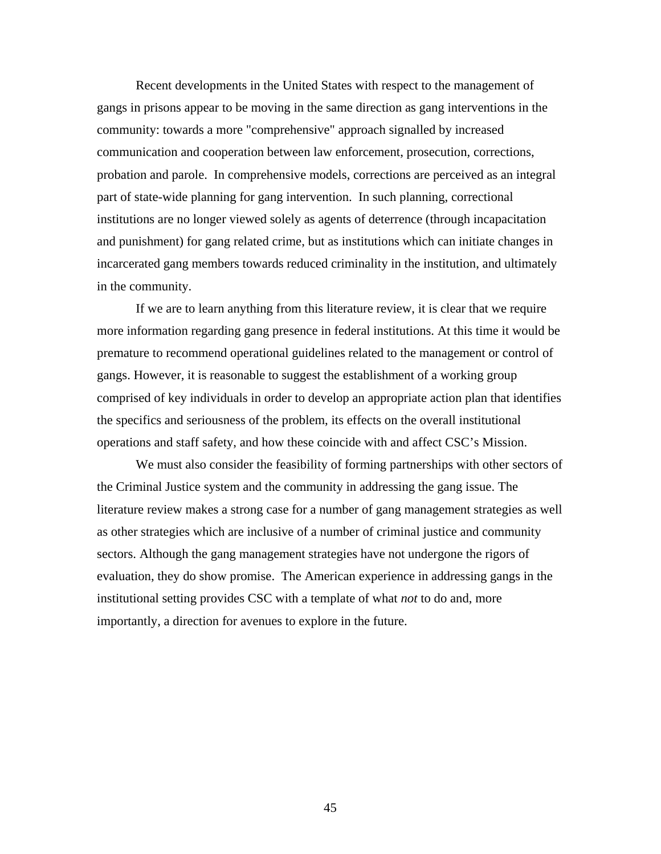Recent developments in the United States with respect to the management of gangs in prisons appear to be moving in the same direction as gang interventions in the community: towards a more "comprehensive" approach signalled by increased communication and cooperation between law enforcement, prosecution, corrections, probation and parole. In comprehensive models, corrections are perceived as an integral part of state-wide planning for gang intervention. In such planning, correctional institutions are no longer viewed solely as agents of deterrence (through incapacitation and punishment) for gang related crime, but as institutions which can initiate changes in incarcerated gang members towards reduced criminality in the institution, and ultimately in the community.

 If we are to learn anything from this literature review, it is clear that we require more information regarding gang presence in federal institutions. At this time it would be premature to recommend operational guidelines related to the management or control of gangs. However, it is reasonable to suggest the establishment of a working group comprised of key individuals in order to develop an appropriate action plan that identifies the specifics and seriousness of the problem, its effects on the overall institutional operations and staff safety, and how these coincide with and affect CSC's Mission.

 We must also consider the feasibility of forming partnerships with other sectors of the Criminal Justice system and the community in addressing the gang issue. The literature review makes a strong case for a number of gang management strategies as well as other strategies which are inclusive of a number of criminal justice and community sectors. Although the gang management strategies have not undergone the rigors of evaluation, they do show promise. The American experience in addressing gangs in the institutional setting provides CSC with a template of what *not* to do and, more importantly, a direction for avenues to explore in the future.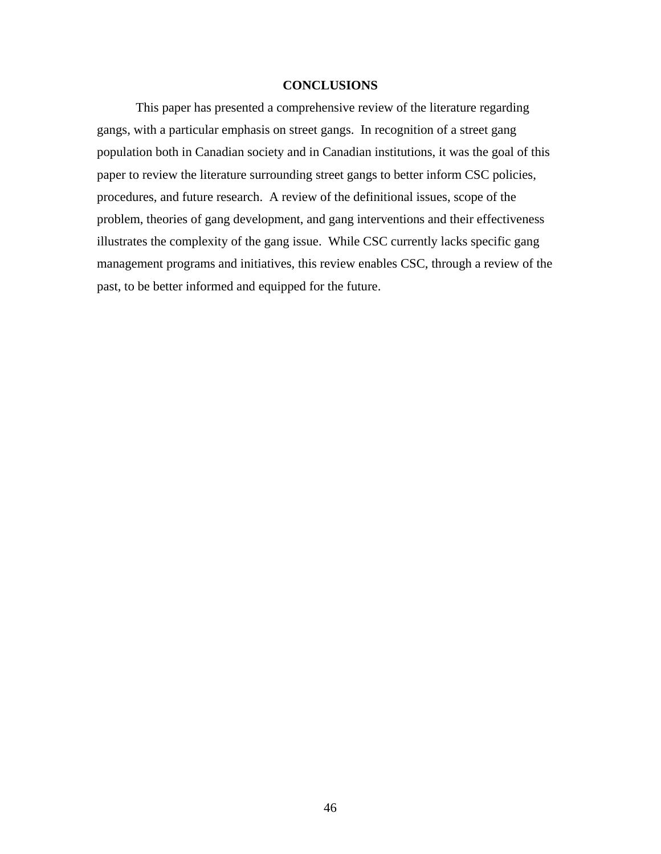### **CONCLUSIONS**

 This paper has presented a comprehensive review of the literature regarding gangs, with a particular emphasis on street gangs. In recognition of a street gang population both in Canadian society and in Canadian institutions, it was the goal of this paper to review the literature surrounding street gangs to better inform CSC policies, procedures, and future research. A review of the definitional issues, scope of the problem, theories of gang development, and gang interventions and their effectiveness illustrates the complexity of the gang issue. While CSC currently lacks specific gang management programs and initiatives, this review enables CSC, through a review of the past, to be better informed and equipped for the future.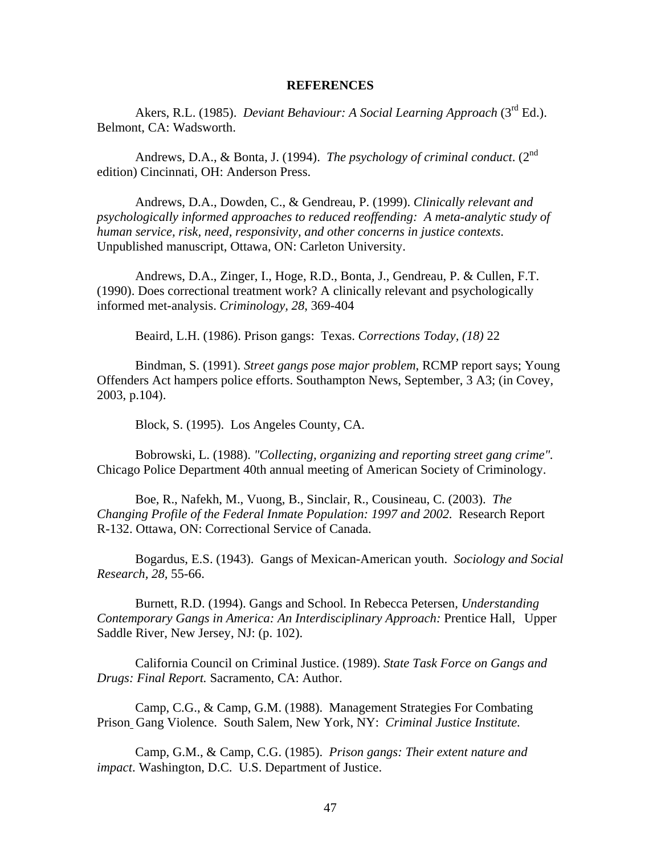#### **REFERENCES**

Akers, R.L. (1985). *Deviant Behaviour: A Social Learning Approach* (3rd Ed.). Belmont, CA: Wadsworth.

Andrews, D.A., & Bonta, J. (1994). *The psychology of criminal conduct*. (2nd edition) Cincinnati, OH: Anderson Press.

Andrews, D.A., Dowden, C., & Gendreau, P. (1999). *Clinically relevant and psychologically informed approaches to reduced reoffending: A meta-analytic study of human service, risk, need, responsivity, and other concerns in justice contexts*. Unpublished manuscript, Ottawa, ON: Carleton University.

Andrews, D.A., Zinger, I., Hoge, R.D., Bonta, J., Gendreau, P. & Cullen, F.T. (1990). Does correctional treatment work? A clinically relevant and psychologically informed met-analysis. *Criminology, 28*, 369-404

Beaird, L.H. (1986). Prison gangs: Texas. *Corrections Today, (18)* 22

Bindman, S. (1991). *Street gangs pose major problem*, RCMP report says; Young Offenders Act hampers police efforts. Southampton News, September, 3 A3; (in Covey, 2003, p.104).

Block, S. (1995). Los Angeles County, CA.

Bobrowski, L. (1988). *"Collecting, organizing and reporting street gang crime".* Chicago Police Department 40th annual meeting of American Society of Criminology.

Boe, R., Nafekh, M., Vuong, B., Sinclair, R., Cousineau, C. (2003). *The Changing Profile of the Federal Inmate Population: 1997 and 2002.* Research Report R-132. Ottawa, ON: Correctional Service of Canada.

Bogardus, E.S. (1943). Gangs of Mexican-American youth. *Sociology and Social Research, 28,* 55-66.

Burnett, R.D. (1994). Gangs and School*.* In Rebecca Petersen*, Understanding Contemporary Gangs in America: An Interdisciplinary Approach:* Prentice Hall, Upper Saddle River, New Jersey, NJ: (p. 102).

California Council on Criminal Justice. (1989). *State Task Force on Gangs and Drugs: Final Report.* Sacramento, CA: Author.

Camp, C.G., & Camp, G.M. (1988). Management Strategies For Combating Prison Gang Violence. South Salem, New York, NY: *Criminal Justice Institute.* 

Camp, G.M., & Camp, C.G. (1985). *Prison gangs: Their extent nature and impact*. Washington, D.C. U.S. Department of Justice.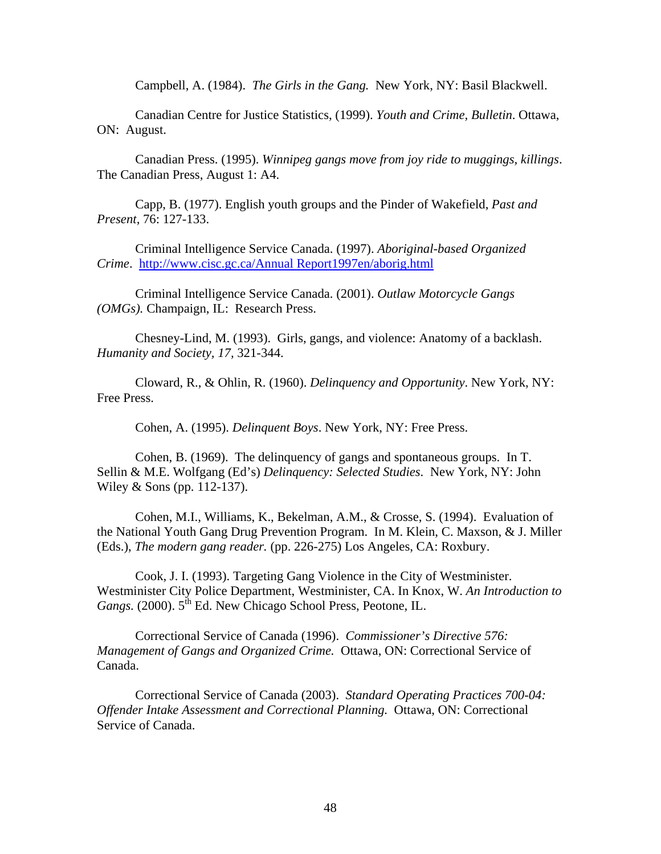Campbell, A. (1984). *The Girls in the Gang.* New York, NY: Basil Blackwell.

Canadian Centre for Justice Statistics, (1999). *Youth and Crime, Bulletin*. Ottawa, ON: August.

Canadian Press. (1995). *Winnipeg gangs move from joy ride to muggings, killings*. The Canadian Press, August 1: A4.

Capp, B. (1977). English youth groups and the Pinder of Wakefield, *Past and Present*, 76: 127-133.

Criminal Intelligence Service Canada. (1997). *Aboriginal-based Organized Crime*. [http://www.cisc.gc.ca/Annual Report1997en/aborig.html](http://www.cisc.gc.ca/Annual%20Report1997en/aborig.html)

Criminal Intelligence Service Canada. (2001). *Outlaw Motorcycle Gangs (OMGs).* Champaign, IL: Research Press.

Chesney-Lind, M. (1993). Girls, gangs, and violence: Anatomy of a backlash. *Humanity and Society, 17,* 321-344.

Cloward, R., & Ohlin, R. (1960). *Delinquency and Opportunity*. New York, NY: Free Press.

Cohen, A. (1995). *Delinquent Boys*. New York, NY: Free Press.

Cohen, B. (1969). The delinquency of gangs and spontaneous groups. In T. Sellin & M.E. Wolfgang (Ed's) *Delinquency: Selected Studies*. New York, NY: John Wiley & Sons (pp. 112-137).

Cohen, M.I., Williams, K., Bekelman, A.M., & Crosse, S. (1994). Evaluation of the National Youth Gang Drug Prevention Program. In M. Klein, C. Maxson, & J. Miller (Eds.), *The modern gang reader.* (pp. 226-275) Los Angeles, CA: Roxbury.

Cook, J. I. (1993). Targeting Gang Violence in the City of Westminister. Westminister City Police Department, Westminister, CA. In Knox, W. *An Introduction to Gangs.* (2000). 5<sup>th</sup> Ed. New Chicago School Press, Peotone, IL.

Correctional Service of Canada (1996). *Commissioner's Directive 576: Management of Gangs and Organized Crime.* Ottawa, ON: Correctional Service of Canada.

Correctional Service of Canada (2003). *Standard Operating Practices 700-04: Offender Intake Assessment and Correctional Planning.* Ottawa, ON: Correctional Service of Canada.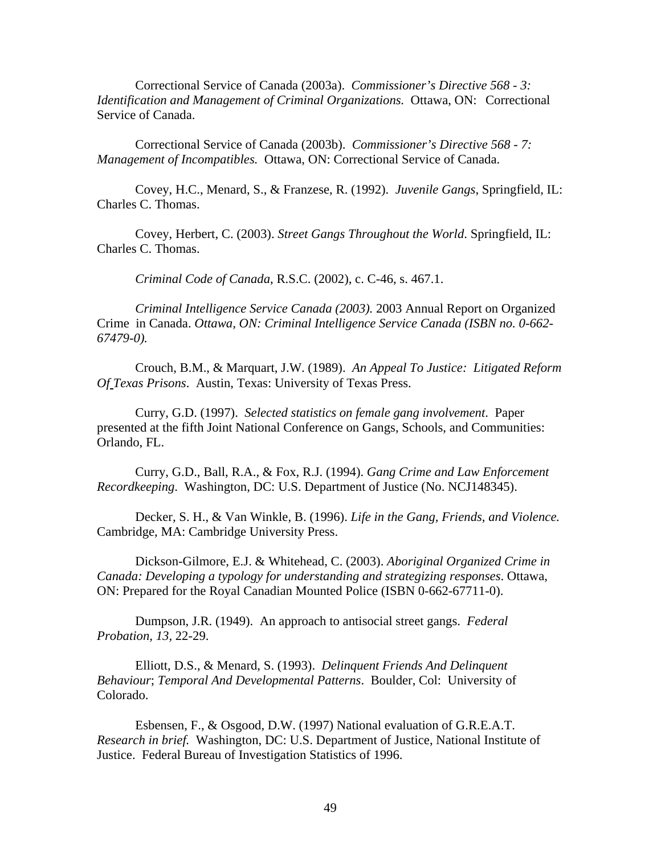Correctional Service of Canada (2003a). *Commissioner's Directive 568 - 3: Identification and Management of Criminal Organizations.* Ottawa, ON: Correctional Service of Canada.

Correctional Service of Canada (2003b). *Commissioner's Directive 568 - 7: Management of Incompatibles.* Ottawa, ON: Correctional Service of Canada.

Covey, H.C., Menard, S., & Franzese, R. (1992). *Juvenile Gangs*, Springfield, IL: Charles C. Thomas.

Covey, Herbert, C. (2003). *Street Gangs Throughout the World*. Springfield, IL: Charles C. Thomas.

*Criminal Code of Canada*, R.S.C. (2002), c. C-46, s. 467.1.

*Criminal Intelligence Service Canada (2003).* 2003 Annual Report on Organized Crime in Canada. *Ottawa, ON: Criminal Intelligence Service Canada (ISBN no. 0-662- 67479-0).* 

Crouch, B.M., & Marquart, J.W. (1989). *An Appeal To Justice: Litigated Reform Of Texas Prisons*. Austin, Texas: University of Texas Press.

Curry, G.D. (1997). *Selected statistics on female gang involvement*. Paper presented at the fifth Joint National Conference on Gangs, Schools, and Communities: Orlando, FL.

Curry, G.D., Ball, R.A., & Fox, R.J. (1994). *Gang Crime and Law Enforcement Recordkeeping*. Washington, DC: U.S. Department of Justice (No. NCJ148345).

Decker, S. H., & Van Winkle, B. (1996). *Life in the Gang, Friends, and Violence.*  Cambridge, MA: Cambridge University Press.

Dickson-Gilmore, E.J. & Whitehead, C. (2003). *Aboriginal Organized Crime in Canada: Developing a typology for understanding and strategizing responses*. Ottawa, ON: Prepared for the Royal Canadian Mounted Police (ISBN 0-662-67711-0).

Dumpson, J.R. (1949). An approach to antisocial street gangs. *Federal Probation, 13,* 22-29.

Elliott, D.S., & Menard, S. (1993). *Delinquent Friends And Delinquent Behaviour*; *Temporal And Developmental Patterns*. Boulder, Col: University of Colorado.

Esbensen, F., & Osgood, D.W. (1997) National evaluation of G.R.E.A.T. *Research in brief.* Washington, DC: U.S. Department of Justice, National Institute of Justice. Federal Bureau of Investigation Statistics of 1996.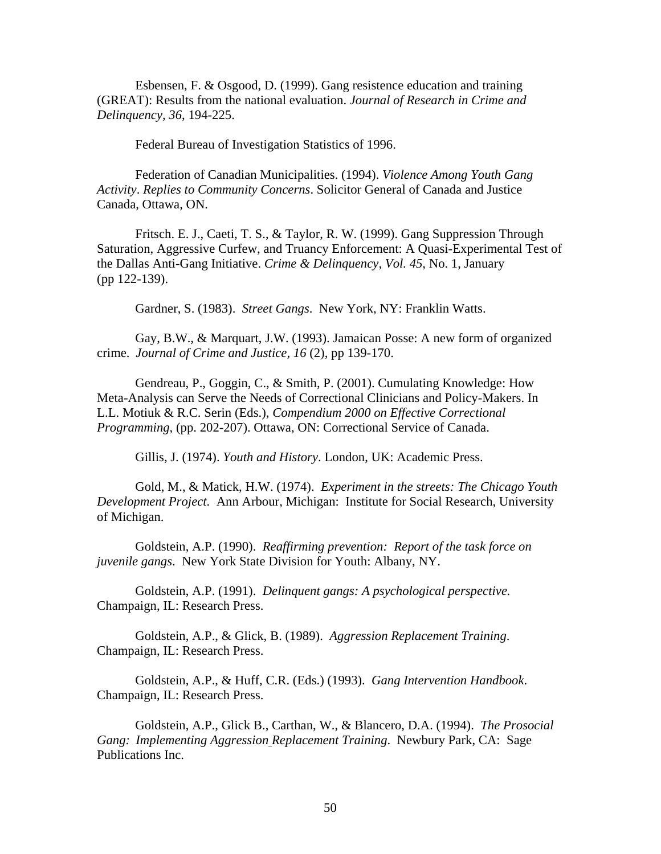Esbensen, F. & Osgood, D. (1999). Gang resistence education and training (GREAT): Results from the national evaluation. *Journal of Research in Crime and Delinquency, 36*, 194-225.

Federal Bureau of Investigation Statistics of 1996.

Federation of Canadian Municipalities. (1994). *Violence Among Youth Gang Activity*. *Replies to Community Concerns*. Solicitor General of Canada and Justice Canada, Ottawa, ON.

Fritsch. E. J., Caeti, T. S., & Taylor, R. W. (1999). Gang Suppression Through Saturation, Aggressive Curfew, and Truancy Enforcement: A Quasi-Experimental Test of the Dallas Anti-Gang Initiative. *Crime & Delinquency, Vol. 45*, No. 1, January (pp 122-139).

Gardner, S. (1983). *Street Gangs*. New York, NY: Franklin Watts.

Gay, B.W., & Marquart, J.W. (1993). Jamaican Posse: A new form of organized crime. *Journal of Crime and Justice, 16* (2), pp 139-170.

Gendreau, P., Goggin, C., & Smith, P. (2001). Cumulating Knowledge: How Meta-Analysis can Serve the Needs of Correctional Clinicians and Policy-Makers. In L.L. Motiuk & R.C. Serin (Eds.), *Compendium 2000 on Effective Correctional Programming*, (pp. 202-207). Ottawa, ON: Correctional Service of Canada.

Gillis, J. (1974). *Youth and History*. London, UK: Academic Press.

Gold, M., & Matick, H.W. (1974). *Experiment in the streets: The Chicago Youth Development Project*. Ann Arbour, Michigan: Institute for Social Research, University of Michigan.

Goldstein, A.P. (1990). *Reaffirming prevention: Report of the task force on juvenile gangs*. New York State Division for Youth: Albany, NY.

Goldstein, A.P. (1991). *Delinquent gangs: A psychological perspective.* Champaign, IL: Research Press.

Goldstein, A.P., & Glick, B. (1989). *Aggression Replacement Training*. Champaign, IL: Research Press.

Goldstein, A.P., & Huff, C.R. (Eds.) (1993). *Gang Intervention Handbook*. Champaign, IL: Research Press.

Goldstein, A.P., Glick B., Carthan, W., & Blancero, D.A. (1994). *The Prosocial Gang: Implementing Aggression Replacement Training*. Newbury Park, CA: Sage Publications Inc.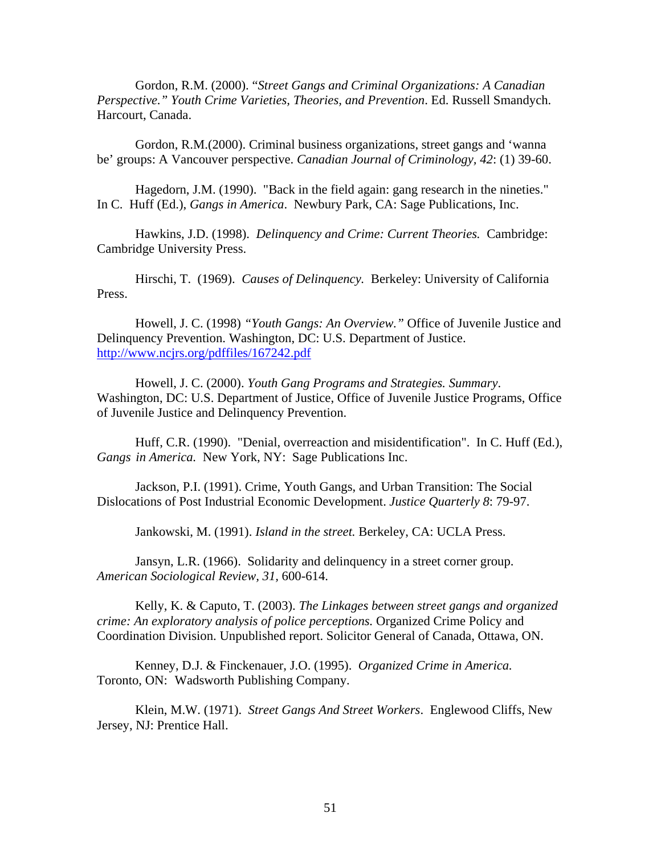Gordon, R.M. (2000). "*Street Gangs and Criminal Organizations: A Canadian Perspective." Youth Crime Varieties, Theories, and Prevention*. Ed. Russell Smandych. Harcourt, Canada.

Gordon, R.M.(2000). Criminal business organizations, street gangs and 'wanna be' groups: A Vancouver perspective. *Canadian Journal of Criminology, 42*: (1) 39-60.

Hagedorn, J.M. (1990). "Back in the field again: gang research in the nineties." In C. Huff (Ed.), *Gangs in America*. Newbury Park, CA: Sage Publications, Inc.

Hawkins, J.D. (1998). *Delinquency and Crime: Current Theories.* Cambridge: Cambridge University Press.

Hirschi, T. (1969). *Causes of Delinquency.* Berkeley: University of California Press.

Howell, J. C. (1998) *"Youth Gangs: An Overview."* Office of Juvenile Justice and Delinquency Prevention. Washington, DC: U.S. Department of Justice. <http://www.ncjrs.org/pdffiles/167242.pdf>

Howell, J. C. (2000). *Youth Gang Programs and Strategies. Summary*. Washington, DC: U.S. Department of Justice, Office of Juvenile Justice Programs, Office of Juvenile Justice and Delinquency Prevention.

Huff, C.R. (1990). "Denial, overreaction and misidentification". In C. Huff (Ed.), *Gangs in America.* New York, NY: Sage Publications Inc.

Jackson, P.I. (1991). Crime, Youth Gangs, and Urban Transition: The Social Dislocations of Post Industrial Economic Development. *Justice Quarterly 8*: 79-97.

Jankowski, M. (1991). *Island in the street.* Berkeley, CA: UCLA Press.

Jansyn, L.R. (1966). Solidarity and delinquency in a street corner group. *American Sociological Review, 31,* 600-614.

Kelly, K. & Caputo, T. (2003). *The Linkages between street gangs and organized crime: An exploratory analysis of police perceptions.* Organized Crime Policy and Coordination Division. Unpublished report. Solicitor General of Canada, Ottawa, ON.

Kenney, D.J. & Finckenauer, J.O. (1995). *Organized Crime in America.* Toronto, ON: Wadsworth Publishing Company.

Klein, M.W. (1971). *Street Gangs And Street Workers*. Englewood Cliffs, New Jersey, NJ: Prentice Hall.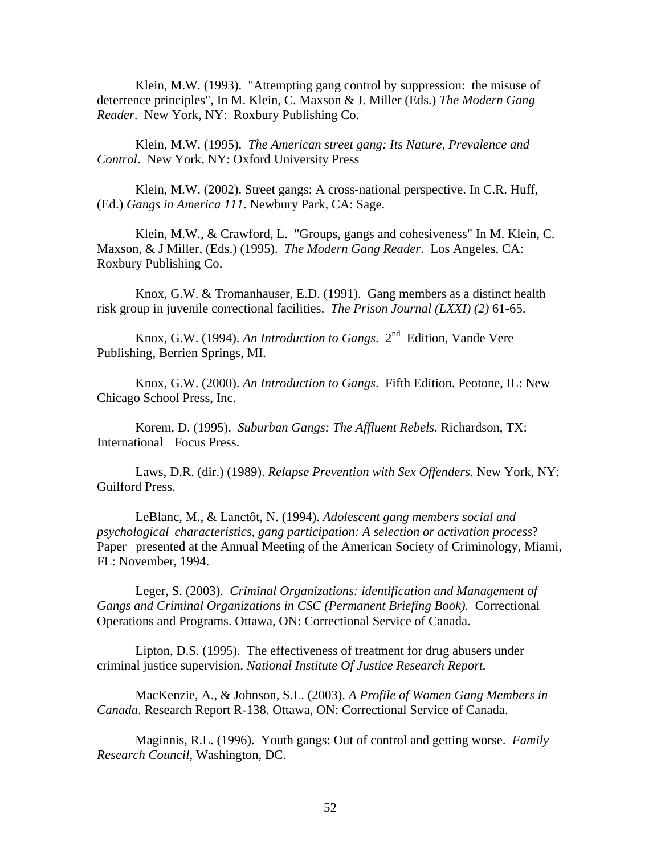Klein, M.W. (1993). "Attempting gang control by suppression: the misuse of deterrence principles", In M. Klein, C. Maxson & J. Miller (Eds.) *The Modern Gang Reader*. New York, NY: Roxbury Publishing Co.

Klein, M.W. (1995). *The American street gang: Its Nature, Prevalence and Control*. New York, NY: Oxford University Press

Klein, M.W. (2002). Street gangs: A cross-national perspective. In C.R. Huff, (Ed.) *Gangs in America 111*. Newbury Park, CA: Sage.

Klein, M.W., & Crawford, L. "Groups, gangs and cohesiveness" In M. Klein, C. Maxson, & J Miller, (Eds.) (1995). *The Modern Gang Reader*. Los Angeles, CA: Roxbury Publishing Co.

Knox, G.W. & Tromanhauser, E.D. (1991). Gang members as a distinct health risk group in juvenile correctional facilities. *The Prison Journal (LXXI) (2)* 61-65.

Knox, G.W. (1994). *An Introduction to Gangs*. 2<sup>nd</sup> Edition, Vande Vere Publishing, Berrien Springs, MI.

Knox, G.W. (2000). *An Introduction to Gangs*. Fifth Edition. Peotone, IL: New Chicago School Press, Inc.

Korem, D. (1995). *Suburban Gangs: The Affluent Rebels*. Richardson, TX: International Focus Press.

Laws, D.R. (dir.) (1989). *Relapse Prevention with Sex Offenders*. New York, NY: Guilford Press.

LeBlanc, M., & Lanctôt, N. (1994). *Adolescent gang members social and psychological characteristics, gang participation: A selection or activation process*? Paper presented at the Annual Meeting of the American Society of Criminology, Miami, FL: November, 1994.

Leger, S. (2003). *Criminal Organizations: identification and Management of Gangs and Criminal Organizations in CSC (Permanent Briefing Book).* Correctional Operations and Programs. Ottawa, ON: Correctional Service of Canada.

Lipton, D.S. (1995). The effectiveness of treatment for drug abusers under criminal justice supervision. *National Institute Of Justice Research Report.* 

MacKenzie, A., & Johnson, S.L. (2003). *A Profile of Women Gang Members in Canada*. Research Report R-138. Ottawa, ON: Correctional Service of Canada.

Maginnis, R.L. (1996). Youth gangs: Out of control and getting worse. *Family Research Council*, Washington, DC.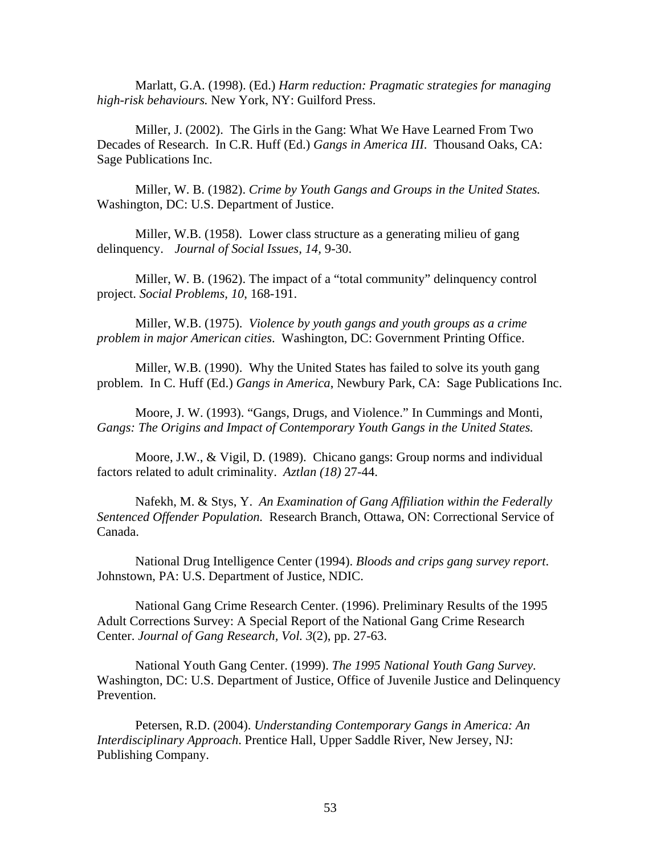Marlatt, G.A. (1998). (Ed.) *Harm reduction: Pragmatic strategies for managing high-risk behaviours.* New York, NY: Guilford Press.

Miller, J. (2002). The Girls in the Gang: What We Have Learned From Two Decades of Research. In C.R. Huff (Ed.) *Gangs in America III*. Thousand Oaks, CA: Sage Publications Inc.

Miller, W. B. (1982). *Crime by Youth Gangs and Groups in the United States.*  Washington, DC: U.S. Department of Justice.

Miller, W.B. (1958). Lower class structure as a generating milieu of gang delinquency. *Journal of Social Issues, 14,* 9-30.

Miller, W. B. (1962). The impact of a "total community" delinquency control project. *Social Problems, 10*, 168-191.

Miller, W.B. (1975). *Violence by youth gangs and youth groups as a crime problem in major American cities*. Washington, DC: Government Printing Office.

Miller, W.B. (1990). Why the United States has failed to solve its youth gang problem. In C. Huff (Ed.) *Gangs in America*, Newbury Park, CA: Sage Publications Inc.

Moore, J. W. (1993). "Gangs, Drugs, and Violence." In Cummings and Monti, *Gangs: The Origins and Impact of Contemporary Youth Gangs in the United States.* 

Moore, J.W., & Vigil, D. (1989). Chicano gangs: Group norms and individual factors related to adult criminality. *Aztlan (18)* 27-44.

Nafekh, M. & Stys, Y. *An Examination of Gang Affiliation within the Federally Sentenced Offender Population.* Research Branch, Ottawa, ON: Correctional Service of Canada.

National Drug Intelligence Center (1994). *Bloods and crips gang survey report*. Johnstown, PA: U.S. Department of Justice, NDIC.

National Gang Crime Research Center. (1996). Preliminary Results of the 1995 Adult Corrections Survey: A Special Report of the National Gang Crime Research Center. *Journal of Gang Research, Vol. 3*(2), pp. 27-63.

National Youth Gang Center. (1999). *The 1995 National Youth Gang Survey.* Washington, DC: U.S. Department of Justice, Office of Juvenile Justice and Delinquency Prevention.

Petersen, R.D. (2004). *Understanding Contemporary Gangs in America: An Interdisciplinary Approach*. Prentice Hall, Upper Saddle River, New Jersey, NJ: Publishing Company.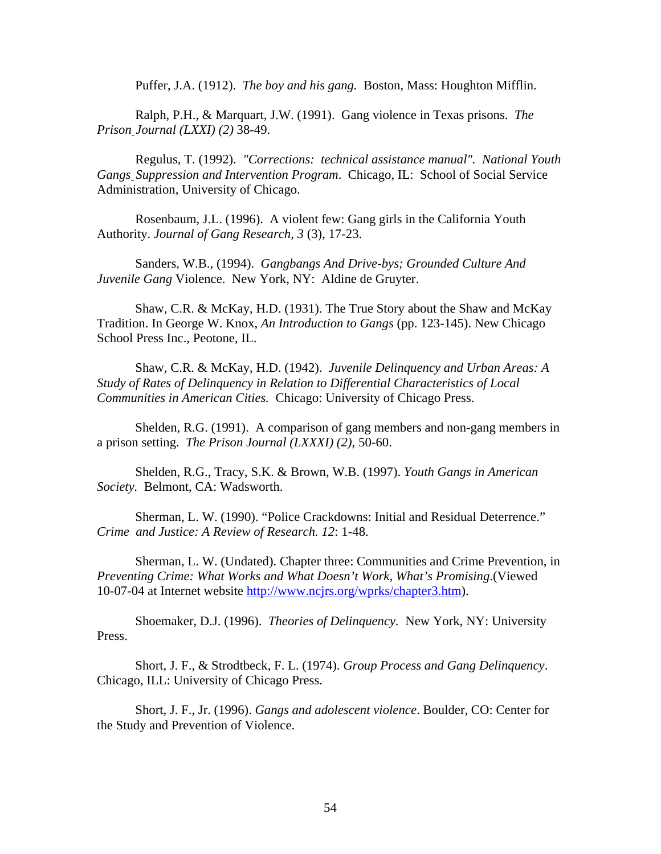Puffer, J.A. (1912). *The boy and his gang.* Boston, Mass: Houghton Mifflin.

Ralph, P.H., & Marquart, J.W. (1991). Gang violence in Texas prisons. *The Prison Journal (LXXI) (2)* 38-49.

Regulus, T. (1992). *"Corrections: technical assistance manual". National Youth Gangs Suppression and Intervention Program*. Chicago, IL: School of Social Service Administration, University of Chicago.

Rosenbaum, J.L. (1996). A violent few: Gang girls in the California Youth Authority. *Journal of Gang Research, 3* (3), 17-23.

Sanders, W.B., (1994). *Gangbangs And Drive-bys; Grounded Culture And Juvenile Gang* Violence. New York, NY: Aldine de Gruyter.

Shaw, C.R. & McKay, H.D. (1931). The True Story about the Shaw and McKay Tradition. In George W. Knox, *An Introduction to Gangs* (pp. 123-145). New Chicago School Press Inc., Peotone, IL.

Shaw, C.R. & McKay, H.D. (1942). *Juvenile Delinquency and Urban Areas: A Study of Rates of Delinquency in Relation to Differential Characteristics of Local Communities in American Cities.* Chicago: University of Chicago Press.

Shelden, R.G. (1991). A comparison of gang members and non-gang members in a prison setting. *The Prison Journal (LXXXI) (2),* 50-60.

Shelden, R.G., Tracy, S.K. & Brown, W.B. (1997). *Youth Gangs in American Society.* Belmont, CA: Wadsworth.

Sherman, L. W. (1990). "Police Crackdowns: Initial and Residual Deterrence." *Crime and Justice: A Review of Research. 12*: 1-48.

Sherman, L. W. (Undated). Chapter three: Communities and Crime Prevention, in *Preventing Crime: What Works and What Doesn't Work, What's Promising*.(Viewed 10-07-04 at Internet website [http://www.ncjrs.org/wprks/chapter3.htm\)](http://www.ncjrs.org/wprks/chapter3.htm).

Shoemaker, D.J. (1996). *Theories of Delinquency.* New York, NY: University Press.

Short, J. F., & Strodtbeck, F. L. (1974). *Group Process and Gang Delinquency*. Chicago, ILL: University of Chicago Press.

Short, J. F., Jr. (1996). *Gangs and adolescent violence*. Boulder, CO: Center for the Study and Prevention of Violence.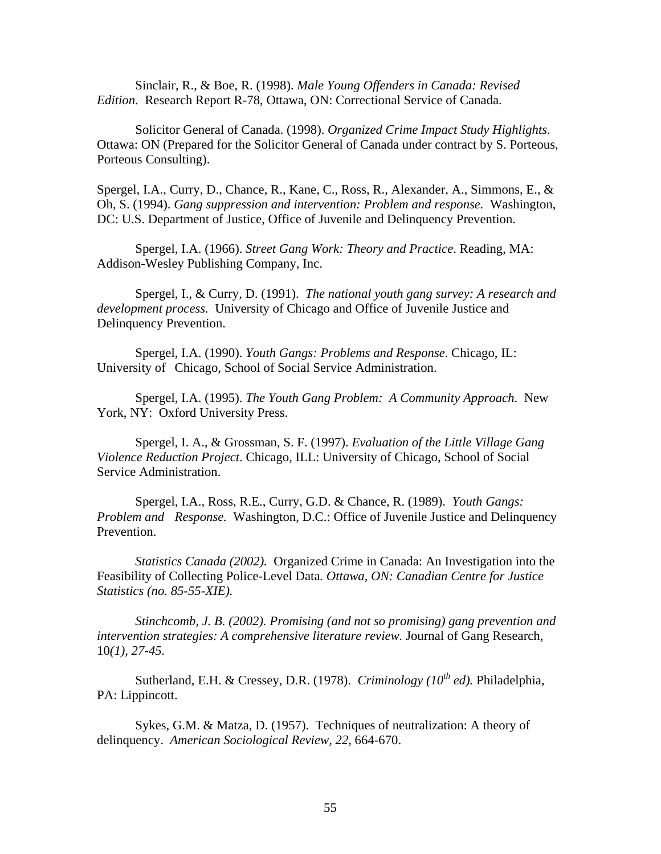Sinclair, R., & Boe, R. (1998). *Male Young Offenders in Canada: Revised Edition.* Research Report R-78, Ottawa, ON: Correctional Service of Canada.

Solicitor General of Canada. (1998). *Organized Crime Impact Study Highlights*. Ottawa: ON (Prepared for the Solicitor General of Canada under contract by S. Porteous, Porteous Consulting).

Spergel, I.A., Curry, D., Chance, R., Kane, C., Ross, R., Alexander, A., Simmons, E., & Oh, S. (1994). *Gang suppression and intervention: Problem and response.* Washington, DC: U.S. Department of Justice, Office of Juvenile and Delinquency Prevention.

Spergel, I.A. (1966). *Street Gang Work: Theory and Practice*. Reading, MA: Addison-Wesley Publishing Company, Inc.

Spergel, I., & Curry, D. (1991). *The national youth gang survey: A research and development process.* University of Chicago and Office of Juvenile Justice and Delinquency Prevention.

Spergel, I.A. (1990). *Youth Gangs: Problems and Response*. Chicago, IL: University of Chicago, School of Social Service Administration.

Spergel, I.A. (1995). *The Youth Gang Problem: A Community Approach*. New York, NY: Oxford University Press.

Spergel, I. A., & Grossman, S. F. (1997). *Evaluation of the Little Village Gang Violence Reduction Project*. Chicago, ILL: University of Chicago, School of Social Service Administration.

Spergel, I.A., Ross, R.E., Curry, G.D. & Chance, R. (1989). *Youth Gangs: Problem and Response.* Washington, D.C.: Office of Juvenile Justice and Delinquency Prevention.

*Statistics Canada (2002).* Organized Crime in Canada: An Investigation into the Feasibility of Collecting Police-Level Data*. Ottawa, ON: Canadian Centre for Justice Statistics (no. 85-55-XIE).* 

*Stinchcomb, J. B. (2002). Promising (and not so promising) gang prevention and intervention strategies: A comprehensive literature review.* Journal of Gang Research, 10*(1), 27-45.* 

Sutherland, E.H. & Cressey, D.R. (1978). *Criminology (10<sup>th</sup> ed)*. Philadelphia, PA: Lippincott.

Sykes, G.M. & Matza, D. (1957). Techniques of neutralization: A theory of delinquency. *American Sociological Review, 22,* 664-670.